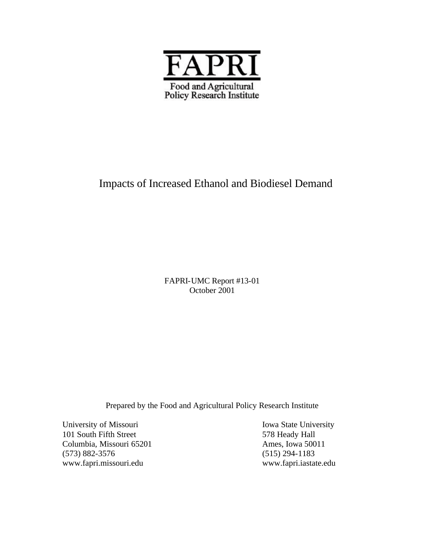

# Impacts of Increased Ethanol and Biodiesel Demand

FAPRI-UMC Report #13-01 October 2001

Prepared by the Food and Agricultural Policy Research Institute

University of Missouri Iowa State University 101 South Fifth Street 578 Heady Hall Columbia, Missouri 65201 Ames, Iowa 50011 (573) 882-3576 (515) 294-1183 www.fapri.missouri.edu www.fapri.iastate.edu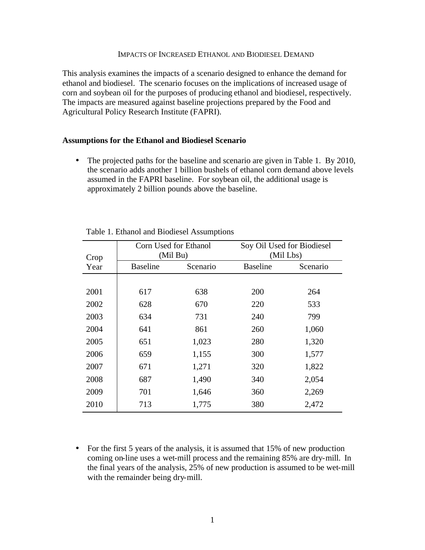#### IMPACTS OF INCREASED ETHANOL AND BIODIESEL DEMAND

This analysis examines the impacts of a scenario designed to enhance the demand for ethanol and biodiesel. The scenario focuses on the implications of increased usage of corn and soybean oil for the purposes of producing ethanol and biodiesel, respectively. The impacts are measured against baseline projections prepared by the Food and Agricultural Policy Research Institute (FAPRI).

#### **Assumptions for the Ethanol and Biodiesel Scenario**

• The projected paths for the baseline and scenario are given in Table 1. By 2010, the scenario adds another 1 billion bushels of ethanol corn demand above levels assumed in the FAPRI baseline. For soybean oil, the additional usage is approximately 2 billion pounds above the baseline.

| Crop |                 | Corn Used for Ethanol<br>(Mil Bu) |                 | Soy Oil Used for Biodiesel<br>(Mil Lbs) |
|------|-----------------|-----------------------------------|-----------------|-----------------------------------------|
| Year | <b>Baseline</b> | Scenario                          | <b>Baseline</b> | Scenario                                |
|      |                 |                                   |                 |                                         |
| 2001 | 617             | 638                               | 200             | 264                                     |
| 2002 | 628             | 670                               | 220             | 533                                     |
| 2003 | 634             | 731                               | 240             | 799                                     |
| 2004 | 641             | 861                               | 260             | 1,060                                   |
| 2005 | 651             | 1,023                             | 280             | 1,320                                   |
| 2006 | 659             | 1,155                             | 300             | 1,577                                   |
| 2007 | 671             | 1,271                             | 320             | 1,822                                   |
| 2008 | 687             | 1,490                             | 340             | 2,054                                   |
| 2009 | 701             | 1,646                             | 360             | 2,269                                   |
| 2010 | 713             | 1,775                             | 380             | 2,472                                   |

Table 1. Ethanol and Biodiesel Assumptions

• For the first 5 years of the analysis, it is assumed that 15% of new production coming on-line uses a wet-mill process and the remaining 85% are dry-mill. In the final years of the analysis, 25% of new production is assumed to be wet-mill with the remainder being dry-mill.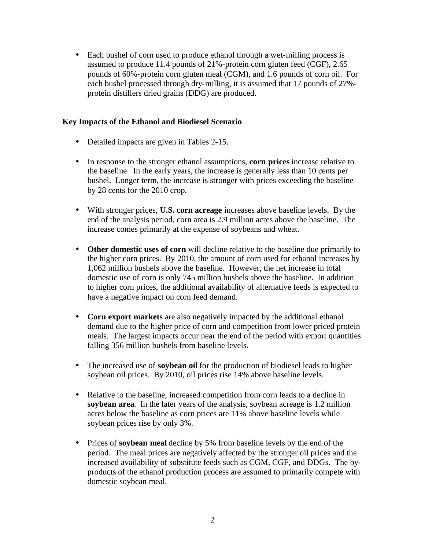• Each bushel of corn used to produce ethanol through a wet-milling process is assumed to produce 11.4 pounds of 21%-protein corn gluten feed (CGF), 2.65 pounds of 60%-protein corn gluten meal (CGM), and 1.6 pounds of corn oil. For each bushel processed through dry-milling, it is assumed that 17 pounds of 27% protein distillers dried grains (DDG) are produced.

#### **Key Impacts of the Ethanol and Biodiesel Scenario**

- Detailed impacts are given in Tables 2-15.
- In response to the stronger ethanol assumptions, **corn prices** increase relative to the baseline. In the early years, the increase is generally less than 10 cents per bushel. Longer term, the increase is stronger with prices exceeding the baseline by 28 cents for the 2010 crop.
- With stronger prices, **U.S. corn acreage** increases above baseline levels. By the end of the analysis period, corn area is 2.9 million acres above the baseline. The increase comes primarily at the expense of soybeans and wheat.
- **Other domestic uses of corn** will decline relative to the baseline due primarily to the higher corn prices. By 2010, the amount of corn used for ethanol increases by 1,062 million bushels above the baseline. However, the net increase in total domestic use of corn is only 745 million bushels above the baseline. In addition to higher corn prices, the additional availability of alternative feeds is expected to have a negative impact on corn feed demand.
- **Corn export markets** are also negatively impacted by the additional ethanol demand due to the higher price of corn and competition from lower priced protein meals. The largest impacts occur near the end of the period with export quantities falling 356 million bushels from baseline levels.
- The increased use of **soybean oil** for the production of biodiesel leads to higher soybean oil prices. By 2010, oil prices rise 14% above baseline levels.
- Relative to the baseline, increased competition from corn leads to a decline in **soybean area**. In the later years of the analysis, soybean acreage is 1.2 million acres below the baseline as corn prices are 11% above baseline levels while soybean prices rise by only 3%.
- Prices of **soybean meal** decline by 5% from baseline levels by the end of the period. The meal prices are negatively affected by the stronger oil prices and the increased availability of substitute feeds such as CGM, CGF, and DDGs. The byproducts of the ethanol production process are assumed to primarily compete with domestic soybean meal.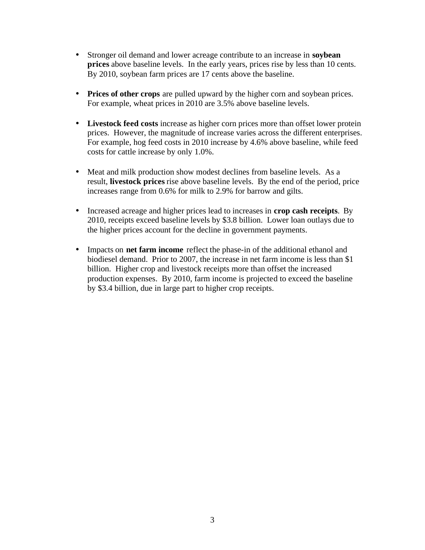- Stronger oil demand and lower acreage contribute to an increase in **soybean prices** above baseline levels. In the early years, prices rise by less than 10 cents. By 2010, soybean farm prices are 17 cents above the baseline.
- **Prices of other crops** are pulled upward by the higher corn and soybean prices. For example, wheat prices in 2010 are 3.5% above baseline levels.
- **Livestock feed costs** increase as higher corn prices more than offset lower protein prices. However, the magnitude of increase varies across the different enterprises. For example, hog feed costs in 2010 increase by 4.6% above baseline, while feed costs for cattle increase by only 1.0%.
- Meat and milk production show modest declines from baseline levels. As a result, **livestock prices** rise above baseline levels. By the end of the period, price increases range from 0.6% for milk to 2.9% for barrow and gilts.
- Increased acreage and higher prices lead to increases in **crop cash receipts**. By 2010, receipts exceed baseline levels by \$3.8 billion. Lower loan outlays due to the higher prices account for the decline in government payments.
- Impacts on **net farm income** reflect the phase-in of the additional ethanol and biodiesel demand. Prior to 2007, the increase in net farm income is less than \$1 billion. Higher crop and livestock receipts more than offset the increased production expenses. By 2010, farm income is projected to exceed the baseline by \$3.4 billion, due in large part to higher crop receipts.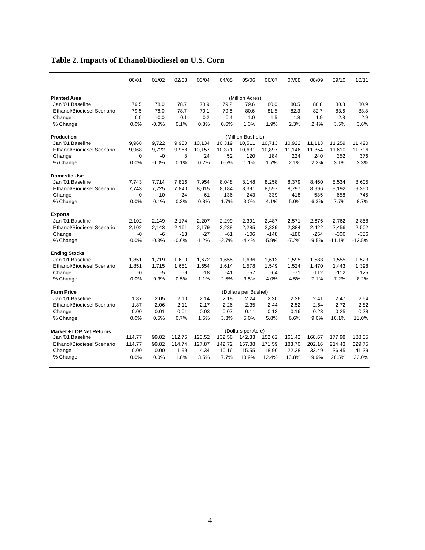|                                   | 00/01    | 01/02   | 02/03   | 03/04   | 04/05   | 05/06                | 06/07   | 07/08   | 08/09   | 09/10    | 10/11    |
|-----------------------------------|----------|---------|---------|---------|---------|----------------------|---------|---------|---------|----------|----------|
| <b>Planted Area</b>               |          |         |         |         |         | (Million Acres)      |         |         |         |          |          |
| Jan '01 Baseline                  | 79.5     | 78.0    | 78.7    | 78.9    | 79.2    | 79.6                 | 80.0    | 80.5    | 80.8    | 80.8     | 80.9     |
| <b>Ethanol/Biodiesel Scenario</b> | 79.5     | 78.0    | 78.7    | 79.1    | 79.6    | 80.6                 | 81.5    | 82.3    | 82.7    | 83.6     | 83.8     |
| Change                            | 0.0      | $-0.0$  | 0.1     | 0.2     | 0.4     | 1.0                  | 1.5     | 1.8     | 1.9     | 2.8      | 2.9      |
| % Change                          | 0.0%     | $-0.0%$ | 0.1%    | 0.3%    | 0.6%    | 1.3%                 | 1.9%    | 2.3%    | 2.4%    | 3.5%     | 3.6%     |
| <b>Production</b>                 |          |         |         |         |         | (Million Bushels)    |         |         |         |          |          |
| Jan '01 Baseline                  | 9,968    | 9,722   | 9,950   | 10,134  | 10,319  | 10,511               | 10,713  | 10,922  | 11,113  | 11,259   | 11,420   |
| <b>Ethanol/Biodiesel Scenario</b> | 9,968    | 9,722   | 9,958   | 10,157  | 10,371  | 10,631               | 10,897  | 11,146  | 11,354  | 11,610   | 11,796   |
| Change                            | $\Omega$ | $-0$    | 8       | 24      | 52      | 120                  | 184     | 224     | 240     | 352      | 376      |
| % Change                          | 0.0%     | $-0.0%$ | 0.1%    | 0.2%    | 0.5%    | 1.1%                 | 1.7%    | 2.1%    | 2.2%    | 3.1%     | 3.3%     |
| <b>Domestic Use</b>               |          |         |         |         |         |                      |         |         |         |          |          |
| Jan '01 Baseline                  | 7,743    | 7,714   | 7,816   | 7,954   | 8,048   | 8,148                | 8,258   | 8,379   | 8,460   | 8,534    | 8,605    |
| <b>Ethanol/Biodiesel Scenario</b> | 7.743    | 7,725   | 7,840   | 8,015   | 8,184   | 8,391                | 8,597   | 8,797   | 8,996   | 9,192    | 9,350    |
| Change                            | 0        | 10      | 24      | 61      | 136     | 243                  | 339     | 418     | 535     | 658      | 745      |
| % Change                          | 0.0%     | 0.1%    | 0.3%    | 0.8%    | 1.7%    | 3.0%                 | 4.1%    | 5.0%    | 6.3%    | 7.7%     | 8.7%     |
| <b>Exports</b>                    |          |         |         |         |         |                      |         |         |         |          |          |
| Jan '01 Baseline                  | 2,102    | 2.149   | 2,174   | 2,207   | 2,299   | 2,391                | 2,487   | 2,571   | 2,676   | 2,762    | 2,858    |
| <b>Ethanol/Biodiesel Scenario</b> | 2,102    | 2,143   | 2,161   | 2,179   | 2,238   | 2,285                | 2,339   | 2,384   | 2,422   | 2,456    | 2,502    |
| Change                            | $-0$     | $-6$    | $-13$   | $-27$   | $-61$   | $-106$               | $-148$  | $-186$  | $-254$  | $-306$   | $-356$   |
| % Change                          | $-0.0%$  | $-0.3%$ | $-0.6%$ | $-1.2%$ | $-2.7%$ | $-4.4%$              | $-5.9%$ | $-7.2%$ | $-9.5%$ | $-11.1%$ | $-12.5%$ |
| <b>Ending Stocks</b>              |          |         |         |         |         |                      |         |         |         |          |          |
| Jan '01 Baseline                  | 1,851    | 1,719   | 1,690   | 1,672   | 1,655   | 1,636                | 1,613   | 1,595   | 1,583   | 1,555    | 1,523    |
| <b>Ethanol/Biodiesel Scenario</b> | 1,851    | 1,715   | 1,681   | 1,654   | 1,614   | 1,578                | 1,549   | 1,524   | 1,470   | 1,443    | 1,398    |
| Change                            | -0       | $-5$    | -9      | $-18$   | $-41$   | $-57$                | $-64$   | $-71$   | $-112$  | $-112$   | $-125$   |
| % Change                          | $-0.0%$  | $-0.3%$ | $-0.5%$ | $-1.1%$ | $-2.5%$ | $-3.5%$              | $-4.0%$ | $-4.5%$ | $-7.1%$ | $-7.2%$  | $-8.2%$  |
| <b>Farm Price</b>                 |          |         |         |         |         | (Dollars per Bushel) |         |         |         |          |          |
| Jan '01 Baseline                  | 1.87     | 2.05    | 2.10    | 2.14    | 2.18    | 2.24                 | 2.30    | 2.36    | 2.41    | 2.47     | 2.54     |
| <b>Ethanol/Biodiesel Scenario</b> | 1.87     | 2.06    | 2.11    | 2.17    | 2.26    | 2.35                 | 2.44    | 2.52    | 2.64    | 2.72     | 2.82     |
| Change                            | 0.00     | 0.01    | 0.01    | 0.03    | 0.07    | 0.11                 | 0.13    | 0.16    | 0.23    | 0.25     | 0.28     |
| % Change                          | 0.0%     | 0.5%    | 0.7%    | 1.5%    | 3.3%    | 5.0%                 | 5.8%    | 6.6%    | 9.6%    | 10.1%    | 11.0%    |
| Market + LDP Net Returns          |          |         |         |         |         | (Dollars per Acre)   |         |         |         |          |          |
| Jan '01 Baseline                  | 114.77   | 99.82   | 112.75  | 123.52  | 132.56  | 142.33               | 152.62  | 161.42  | 168.67  | 177.98   | 188.35   |
| <b>Ethanol/Biodiesel Scenario</b> | 114.77   | 99.82   | 114.74  | 127.87  | 142.72  | 157.88               | 171.59  | 183.70  | 202.16  | 214.43   | 229.75   |
| Change                            | 0.00     | 0.00    | 1.99    | 4.34    | 10.16   | 15.55                | 18.96   | 22.28   | 33.49   | 36.45    | 41.39    |
| % Change                          | 0.0%     | 0.0%    | 1.8%    | 3.5%    | 7.7%    | 10.9%                | 12.4%   | 13.8%   | 19.9%   | 20.5%    | 22.0%    |
|                                   |          |         |         |         |         |                      |         |         |         |          |          |

## **Table 2. Impacts of Ethanol/Biodiesel on U.S. Corn**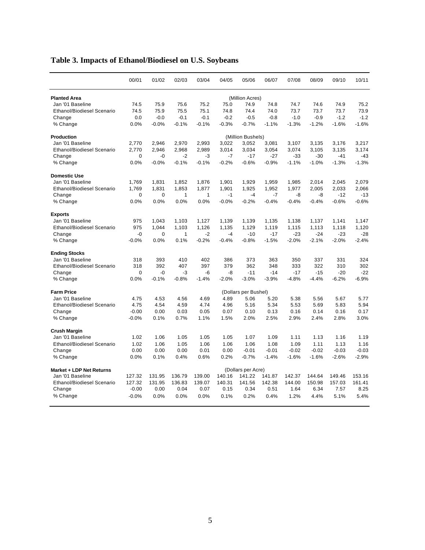|                                   | 00/01       | 01/02       | 02/03        | 03/04        | 04/05   | 05/06                | 06/07   | 07/08   | 08/09   | 09/10   | 10/11   |
|-----------------------------------|-------------|-------------|--------------|--------------|---------|----------------------|---------|---------|---------|---------|---------|
| <b>Planted Area</b>               |             |             |              |              |         | (Million Acres)      |         |         |         |         |         |
| Jan '01 Baseline                  | 74.5        | 75.9        | 75.6         | 75.2         | 75.0    | 74.9                 | 74.8    | 74.7    | 74.6    | 74.9    | 75.2    |
| <b>Ethanol/Biodiesel Scenario</b> | 74.5        | 75.9        | 75.5         | 75.1         | 74.8    | 74.4                 | 74.0    | 73.7    | 73.7    | 73.7    | 73.9    |
| Change                            | 0.0         | $-0.0$      | $-0.1$       | $-0.1$       | $-0.2$  | $-0.5$               | $-0.8$  | $-1.0$  | $-0.9$  | $-1.2$  | $-1.2$  |
| % Change                          | 0.0%        | $-0.0%$     | $-0.1%$      | $-0.1%$      | $-0.3%$ | $-0.7%$              | $-1.1%$ | $-1.3%$ | $-1.2%$ | $-1.6%$ | $-1.6%$ |
| <b>Production</b>                 |             |             |              |              |         | (Million Bushels)    |         |         |         |         |         |
| Jan '01 Baseline                  | 2,770       | 2,946       | 2,970        | 2,993        | 3,022   | 3,052                | 3,081   | 3,107   | 3,135   | 3,176   | 3,217   |
| Ethanol/Biodiesel Scenario        | 2,770       | 2,946       | 2,968        | 2,989        | 3,014   | 3,034                | 3,054   | 3,074   | 3,105   | 3,135   | 3,174   |
| Change                            | $\mathbf 0$ | $-0$        | $-2$         | -3           | $-7$    | $-17$                | $-27$   | $-33$   | $-30$   | $-41$   | $-43$   |
| % Change                          | 0.0%        | $-0.0%$     | $-0.1%$      | $-0.1%$      | $-0.2%$ | $-0.6%$              | $-0.9%$ | $-1.1%$ | $-1.0%$ | $-1.3%$ | $-1.3%$ |
| <b>Domestic Use</b>               |             |             |              |              |         |                      |         |         |         |         |         |
| Jan '01 Baseline                  | 1,769       | 1,831       | 1,852        | 1,876        | 1,901   | 1,929                | 1,959   | 1,985   | 2,014   | 2,045   | 2,079   |
| <b>Ethanol/Biodiesel Scenario</b> | 1,769       | 1,831       | 1,853        | 1,877        | 1,901   | 1,925                | 1,952   | 1,977   | 2,005   | 2,033   | 2,066   |
| Change                            | $\Omega$    | $\mathbf 0$ | $\mathbf{1}$ | $\mathbf{1}$ | $-1$    | $-4$                 | $-7$    | -8      | -8      | $-12$   | $-13$   |
| % Change                          | 0.0%        | 0.0%        | 0.0%         | 0.0%         | $-0.0%$ | $-0.2%$              | $-0.4%$ | $-0.4%$ | $-0.4%$ | $-0.6%$ | $-0.6%$ |
| <b>Exports</b>                    |             |             |              |              |         |                      |         |         |         |         |         |
| Jan '01 Baseline                  | 975         | 1,043       | 1,103        | 1,127        | 1,139   | 1,139                | 1,135   | 1,138   | 1,137   | 1,141   | 1,147   |
| Ethanol/Biodiesel Scenario        | 975         | 1,044       | 1,103        | 1,126        | 1,135   | 1,129                | 1,119   | 1,115   | 1,113   | 1,118   | 1,120   |
| Change                            | $-0$        | $\Omega$    | $\mathbf{1}$ | $-2$         | $-4$    | $-10$                | $-17$   | $-23$   | $-24$   | $-23$   | $-28$   |
| % Change                          | $-0.0%$     | 0.0%        | 0.1%         | $-0.2%$      | $-0.4%$ | $-0.8%$              | $-1.5%$ | $-2.0%$ | $-2.1%$ | $-2.0%$ | $-2.4%$ |
| <b>Ending Stocks</b>              |             |             |              |              |         |                      |         |         |         |         |         |
| Jan '01 Baseline                  | 318         | 393         | 410          | 402          | 386     | 373                  | 363     | 350     | 337     | 331     | 324     |
| <b>Ethanol/Biodiesel Scenario</b> | 318         | 392         | 407          | 397          | 379     | 362                  | 348     | 333     | 322     | 310     | 302     |
| Change                            | $\Omega$    | $-0$        | $-3$         | $-6$         | -8      | $-11$                | $-14$   | $-17$   | $-15$   | $-20$   | $-22$   |
| % Change                          | 0.0%        | $-0.1%$     | $-0.8%$      | $-1.4%$      | $-2.0%$ | $-3.0%$              | $-3.9%$ | $-4.8%$ | $-4.4%$ | $-6.2%$ | $-6.9%$ |
| <b>Farm Price</b>                 |             |             |              |              |         | (Dollars per Bushel) |         |         |         |         |         |
| Jan '01 Baseline                  | 4.75        | 4.53        | 4.56         | 4.69         | 4.89    | 5.06                 | 5.20    | 5.38    | 5.56    | 5.67    | 5.77    |
| Ethanol/Biodiesel Scenario        | 4.75        | 4.54        | 4.59         | 4.74         | 4.96    | 5.16                 | 5.34    | 5.53    | 5.69    | 5.83    | 5.94    |
| Change                            | $-0.00$     | 0.00        | 0.03         | 0.05         | 0.07    | 0.10                 | 0.13    | 0.16    | 0.14    | 0.16    | 0.17    |
| % Change                          | $-0.0%$     | 0.1%        | 0.7%         | 1.1%         | 1.5%    | 2.0%                 | 2.5%    | 2.9%    | 2.4%    | 2.8%    | 3.0%    |
| <b>Crush Margin</b>               |             |             |              |              |         |                      |         |         |         |         |         |
| Jan '01 Baseline                  | 1.02        | 1.06        | 1.05         | 1.05         | 1.05    | 1.07                 | 1.09    | 1.11    | 1.13    | 1.16    | 1.19    |
| <b>Ethanol/Biodiesel Scenario</b> | 1.02        | 1.06        | 1.05         | 1.06         | 1.06    | 1.06                 | 1.08    | 1.09    | 1.11    | 1.13    | 1.16    |
| Change                            | 0.00        | 0.00        | 0.00         | 0.01         | 0.00    | $-0.01$              | $-0.01$ | $-0.02$ | $-0.02$ | $-0.03$ | $-0.03$ |
| % Change                          | 0.0%        | 0.1%        | 0.4%         | 0.6%         | 0.2%    | $-0.7%$              | $-1.4%$ | $-1.6%$ | $-1.6%$ | $-2.6%$ | $-2.9%$ |
| Market + LDP Net Returns          |             |             |              |              |         | (Dollars per Acre)   |         |         |         |         |         |
| Jan '01 Baseline                  | 127.32      | 131.95      | 136.79       | 139.00       | 140.16  | 141.22               | 141.87  | 142.37  | 144.64  | 149.46  | 153.16  |
| Ethanol/Biodiesel Scenario        | 127.32      | 131.95      | 136.83       | 139.07       | 140.31  | 141.56               | 142.38  | 144.00  | 150.98  | 157.03  | 161.41  |
| Change                            | $-0.00$     | 0.00        | 0.04         | 0.07         | 0.15    | 0.34                 | 0.51    | 1.64    | 6.34    | 7.57    | 8.25    |
| % Change                          | $-0.0%$     | 0.0%        | 0.0%         | 0.0%         | 0.1%    | 0.2%                 | 0.4%    | 1.2%    | 4.4%    | 5.1%    | 5.4%    |

# **Table 3. Impacts of Ethanol/Biodiesel on U.S. Soybeans**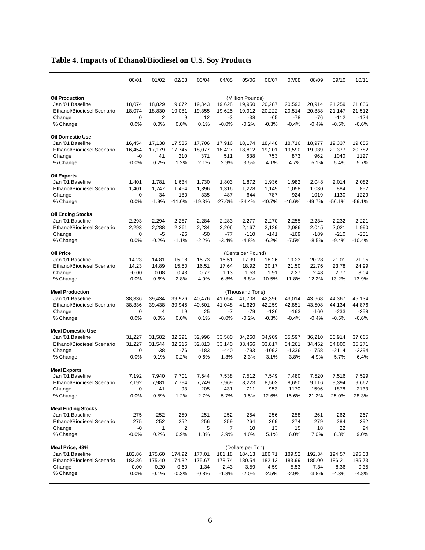|                                   | 00/01         | 01/02     | 02/03     | 03/04     | 04/05     | 05/06             | 06/07      | 07/08      | 08/09      | 09/10      | 10/11      |
|-----------------------------------|---------------|-----------|-----------|-----------|-----------|-------------------|------------|------------|------------|------------|------------|
| <b>Oil Production</b>             |               |           |           |           |           | (Million Pounds)  |            |            |            |            |            |
| Jan '01 Baseline                  | 18,074        | 18,829    | 19,072    | 19,343    | 19,628    | 19,950            | 20,287     | 20,593     | 20,914     | 21,259     | 21,636     |
| <b>Ethanol/Biodiesel Scenario</b> | 18,074        | 18,830    | 19,081    | 19,355    | 19.625    | 19,912            | 20,222     | 20,514     | 20,838     | 21,147     | 21,512     |
| Change                            | 0             | 2         | 9         | 12        | -3        | $-38$             | -65        | $-78$      | -76        | $-112$     | $-124$     |
| % Change                          | 0.0%          | 0.0%      | 0.0%      | 0.1%      | $-0.0%$   | $-0.2%$           | $-0.3%$    | $-0.4%$    | $-0.4%$    | $-0.5%$    | $-0.6%$    |
| Oil Domestic Use                  |               |           |           |           |           |                   |            |            |            |            |            |
| Jan '01 Baseline                  | 16,454        | 17,138    | 17,535    | 17,706    | 17,916    | 18,174            | 18,448     | 18,716     | 18.977     | 19,337     | 19,655     |
| <b>Ethanol/Biodiesel Scenario</b> | 16,454        | 17.179    | 17,745    | 18,077    | 18,427    | 18,812            | 19,201     | 19,590     | 19,939     | 20.377     | 20,782     |
| Change                            | -0            | 41        | 210       | 371       | 511       | 638               | 753        | 873        | 962        | 1040       | 1127       |
| % Change                          | $-0.0%$       | 0.2%      | 1.2%      | 2.1%      | 2.9%      | 3.5%              | 4.1%       | 4.7%       | 5.1%       | 5.4%       | 5.7%       |
| Oil Exports                       |               |           |           |           |           |                   |            |            |            |            |            |
| Jan '01 Baseline                  | 1,401         | 1,781     | 1,634     | 1,730     | 1,803     | 1,872             | 1,936      | 1,982      | 2,048      | 2,014      | 2,082      |
| <b>Ethanol/Biodiesel Scenario</b> | 1,401         | 1,747     | 1,454     | 1,396     | 1,316     | 1,228             | 1,149      | 1,058      | 1,030      | 884        | 852        |
| Change                            | 0             | $-34$     | $-180$    | $-335$    | $-487$    | -644              | $-787$     | -924       | $-1019$    | $-1130$    | $-1229$    |
| % Change                          | 0.0%          | $-1.9%$   | $-11.0%$  | $-19.3%$  | $-27.0%$  | $-34.4%$          | $-40.7%$   | -46.6%     | $-49.7%$   | $-56.1%$   | -59.1%     |
| Oil Ending Stocks                 |               |           |           |           |           |                   |            |            |            |            |            |
| Jan '01 Baseline                  | 2,293         | 2,294     | 2,287     | 2,284     | 2,283     | 2,277             | 2,270      | 2,255      | 2,234      | 2,232      | 2,221      |
| <b>Ethanol/Biodiesel Scenario</b> | 2,293         | 2,288     | 2,261     | 2,234     | 2,206     | 2,167             | 2,129      | 2,086      | 2,045      | 2,021      | 1,990      |
| Change                            | 0             | $-5$      | $-26$     | $-50$     | $-77$     | $-110$            | $-141$     | $-169$     | $-189$     | $-210$     | $-231$     |
| % Change                          | 0.0%          | $-0.2%$   | $-1.1%$   | $-2.2%$   | $-3.4%$   | $-4.8%$           | $-6.2%$    | $-7.5%$    | $-8.5%$    | $-9.4%$    | $-10.4%$   |
| Oil Price                         |               |           |           |           |           | (Cents per Pound) |            |            |            |            |            |
| Jan '01 Baseline                  | 14.23         | 14.81     | 15.08     | 15.73     | 16.51     | 17.39             | 18.26      | 19.23      | 20.28      | 21.01      | 21.95      |
| <b>Ethanol/Biodiesel Scenario</b> | 14.23         | 14.89     | 15.50     | 16.51     | 17.64     | 18.92             | 20.17      | 21.50      | 22.76      | 23.78      | 24.99      |
| Change                            | $-0.00$       | 0.08      | 0.43      | 0.77      | 1.13      | 1.53              | 1.91       | 2.27       | 2.48       | 2.77       | 3.04       |
| % Change                          | $-0.0%$       | 0.6%      | 2.8%      | 4.9%      | 6.8%      | 8.8%              | 10.5%      | 11.8%      | 12.2%      | 13.2%      | 13.9%      |
| <b>Meal Production</b>            |               |           |           |           |           | (Thousand Tons)   |            |            |            |            |            |
| Jan '01 Baseline                  | 38,336        | 39,434    | 39,926    | 40,476    | 41,054    | 41,708            | 42,396     | 43,014     | 43,668     | 44,367     | 45,134     |
| <b>Ethanol/Biodiesel Scenario</b> | 38,336        | 39,438    | 39,945    | 40,501    | 41,048    | 41,629            | 42,259     | 42,851     | 43,508     | 44,134     | 44,876     |
| Change                            | 0             | 4         | 19        | 25        | -7        | $-79$             | $-136$     | -163       | $-160$     | -233       | $-258$     |
| % Change                          | 0.0%          | 0.0%      | 0.0%      | 0.1%      | $-0.0%$   | $-0.2%$           | $-0.3%$    | $-0.4%$    | $-0.4%$    | $-0.5%$    | $-0.6%$    |
| <b>Meal Domestic Use</b>          |               |           |           |           |           |                   |            |            |            |            |            |
| Jan '01 Baseline                  | 31,227        | 31,582    | 32,291    | 32,996    | 33,580    | 34,260            | 34,909     | 35,597     | 36,210     | 36,914     | 37,665     |
| <b>Ethanol/Biodiesel Scenario</b> | 31,227        | 31,544    | 32,216    | 32,813    | 33,140    | 33,466            | 33,817     | 34,261     | 34,452     | 34,800     | 35,271     |
| Change                            | 0             | $-38$     | $-76$     | $-183$    | $-440$    | -793              | $-1092$    | $-1336$    | $-1758$    | $-2114$    | $-2394$    |
| % Change                          | 0.0%          | $-0.1%$   | $-0.2%$   | $-0.6%$   | $-1.3%$   | $-2.3%$           | $-3.1%$    | $-3.8%$    | $-4.9%$    | $-5.7%$    | $-6.4%$    |
| <b>Meal Exports</b>               |               |           |           |           |           |                   |            |            |            |            |            |
| Jan '01 Baseline                  | 7,192         | 7,940     | 7,701     | 7,544     | 7,538     | 7,512             | 7,549      | 7,480      | 7,520      | 7,516      | 7,529      |
| <b>Ethanol/Biodiesel Scenario</b> | 7,192         | 7,981     | 7,794     | 7,749     | 7,969     | 8,223             | 8,503      | 8,650      | 9,116      | 9,394      | 9,662      |
| Change                            | -0            | 41        | 93        | 205       | 431       | 711               | 953        | 1170       | 1596       | 1878       | 2133       |
| % Change                          | $-0.0%$       | 0.5%      | 1.2%      | 2.7%      | 5.7%      | 9.5%              | 12.6%      | 15.6%      | 21.2%      | 25.0%      | 28.3%      |
| <b>Meal Ending Stocks</b>         |               |           |           |           |           |                   |            |            |            |            |            |
| Jan '01 Baseline                  | 275           | 252       | 250       | 251       | 252       | 254               | 256        | 258        | 261        | 262        | 267        |
| Ethanol/Biodiesel Scenario        | 275           | 252       | 252       | 256       | 259       | 264               | 269        | 274        | 279        | 284        | 292        |
| Change<br>% Change                | -0<br>$-0.0%$ | 1<br>0.2% | 2<br>0.9% | 5<br>1.8% | 7<br>2.9% | 10<br>4.0%        | 13<br>5.1% | 15<br>6.0% | 18<br>7.0% | 22<br>8.3% | 24<br>9.0% |
|                                   |               |           |           |           |           |                   |            |            |            |            |            |
| Meal Price, 48%                   |               |           |           |           |           | (Dollars per Ton) |            |            |            |            |            |
| Jan '01 Baseline                  | 182.86        | 175.60    | 174.92    | 177.01    | 181.18    | 184.13            | 186.71     | 189.52     | 192.34     | 194.57     | 195.08     |
| Ethanol/Biodiesel Scenario        | 182.86        | 175.40    | 174.32    | 175.67    | 178.74    | 180.54            | 182.12     | 183.99     | 185.00     | 186.21     | 185.73     |
| Change                            | 0.00          | $-0.20$   | $-0.60$   | $-1.34$   | $-2.43$   | $-3.59$           | $-4.59$    | $-5.53$    | $-7.34$    | $-8.36$    | $-9.35$    |
| % Change                          | 0.0%          | $-0.1%$   | $-0.3%$   | $-0.8%$   | $-1.3%$   | $-2.0%$           | $-2.5%$    | $-2.9%$    | $-3.8%$    | $-4.3%$    | $-4.8%$    |

# **Table 4. Impacts of Ethanol/Biodiesel on U.S. Soy Products**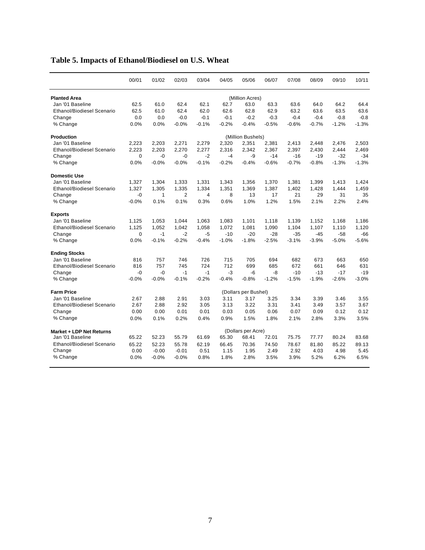|                                   | 00/01    | 01/02   | 02/03          | 03/04   | 04/05   | 05/06                | 06/07   | 07/08   | 08/09   | 09/10   | 10/11   |
|-----------------------------------|----------|---------|----------------|---------|---------|----------------------|---------|---------|---------|---------|---------|
| <b>Planted Area</b>               |          |         |                |         |         | (Million Acres)      |         |         |         |         |         |
| Jan '01 Baseline                  | 62.5     | 61.0    | 62.4           | 62.1    | 62.7    | 63.0                 | 63.3    | 63.6    | 64.0    | 64.2    | 64.4    |
| <b>Ethanol/Biodiesel Scenario</b> | 62.5     | 61.0    | 62.4           | 62.0    | 62.6    | 62.8                 | 62.9    | 63.2    | 63.6    | 63.5    | 63.6    |
| Change                            | 0.0      | 0.0     | $-0.0$         | $-0.1$  | $-0.1$  | $-0.2$               | $-0.3$  | $-0.4$  | $-0.4$  | $-0.8$  | $-0.8$  |
| % Change                          | 0.0%     | 0.0%    | $-0.0%$        | $-0.1%$ | $-0.2%$ | $-0.4%$              | $-0.5%$ | $-0.6%$ | $-0.7%$ | $-1.2%$ | $-1.3%$ |
| Production                        |          |         |                |         |         | (Million Bushels)    |         |         |         |         |         |
| Jan '01 Baseline                  | 2,223    | 2,203   | 2,271          | 2,279   | 2,320   | 2,351                | 2,381   | 2,413   | 2,448   | 2,476   | 2,503   |
| <b>Ethanol/Biodiesel Scenario</b> | 2.223    | 2.203   | 2,270          | 2,277   | 2,316   | 2,342                | 2,367   | 2,397   | 2,430   | 2,444   | 2,469   |
| Change                            | $\Omega$ | $-0$    | $-0$           | $-2$    | -4      | -9                   | $-14$   | $-16$   | $-19$   | $-32$   | $-34$   |
| % Change                          | 0.0%     | $-0.0%$ | $-0.0%$        | $-0.1%$ | $-0.2%$ | $-0.4%$              | $-0.6%$ | $-0.7%$ | $-0.8%$ | $-1.3%$ | $-1.3%$ |
| <b>Domestic Use</b>               |          |         |                |         |         |                      |         |         |         |         |         |
| Jan '01 Baseline                  | 1,327    | 1,304   | 1,333          | 1,331   | 1,343   | 1,356                | 1,370   | 1,381   | 1,399   | 1,413   | 1,424   |
| Ethanol/Biodiesel Scenario        | 1,327    | 1,305   | 1,335          | 1,334   | 1,351   | 1,369                | 1,387   | 1,402   | 1,428   | 1,444   | 1,459   |
| Change                            | -0       | 1       | $\overline{2}$ | 4       | 8       | 13                   | 17      | 21      | 29      | 31      | 35      |
| % Change                          | $-0.0%$  | 0.1%    | 0.1%           | 0.3%    | 0.6%    | 1.0%                 | 1.2%    | 1.5%    | 2.1%    | 2.2%    | 2.4%    |
| <b>Exports</b>                    |          |         |                |         |         |                      |         |         |         |         |         |
| Jan '01 Baseline                  | 1,125    | 1,053   | 1,044          | 1,063   | 1,083   | 1,101                | 1,118   | 1,139   | 1,152   | 1,168   | 1,186   |
| <b>Ethanol/Biodiesel Scenario</b> | 1,125    | 1.052   | 1,042          | 1,058   | 1,072   | 1,081                | 1,090   | 1,104   | 1,107   | 1,110   | 1,120   |
| Change                            | $\Omega$ | $-1$    | $-2$           | $-5$    | $-10$   | $-20$                | $-28$   | $-35$   | $-45$   | $-58$   | $-66$   |
| % Change                          | 0.0%     | $-0.1%$ | $-0.2%$        | $-0.4%$ | $-1.0%$ | $-1.8%$              | $-2.5%$ | $-3.1%$ | $-3.9%$ | $-5.0%$ | $-5.6%$ |
| <b>Ending Stocks</b>              |          |         |                |         |         |                      |         |         |         |         |         |
| Jan '01 Baseline                  | 816      | 757     | 746            | 726     | 715     | 705                  | 694     | 682     | 673     | 663     | 650     |
| <b>Ethanol/Biodiesel Scenario</b> | 816      | 757     | 745            | 724     | 712     | 699                  | 685     | 672     | 661     | 646     | 631     |
| Change                            | $-0$     | $-0$    | $-1$           | $-1$    | -3      | -6                   | -8      | $-10$   | $-13$   | $-17$   | $-19$   |
| % Change                          | $-0.0%$  | $-0.0%$ | $-0.1%$        | $-0.2%$ | $-0.4%$ | $-0.8%$              | $-1.2%$ | $-1.5%$ | $-1.9%$ | $-2.6%$ | $-3.0%$ |
| <b>Farm Price</b>                 |          |         |                |         |         | (Dollars per Bushel) |         |         |         |         |         |
| Jan '01 Baseline                  | 2.67     | 2.88    | 2.91           | 3.03    | 3.11    | 3.17                 | 3.25    | 3.34    | 3.39    | 3.46    | 3.55    |
| <b>Ethanol/Biodiesel Scenario</b> | 2.67     | 2.88    | 2.92           | 3.05    | 3.13    | 3.22                 | 3.31    | 3.41    | 3.49    | 3.57    | 3.67    |
| Change                            | 0.00     | 0.00    | 0.01           | 0.01    | 0.03    | 0.05                 | 0.06    | 0.07    | 0.09    | 0.12    | 0.12    |
| % Change                          | 0.0%     | 0.1%    | 0.2%           | 0.4%    | 0.9%    | 1.5%                 | 1.8%    | 2.1%    | 2.8%    | 3.3%    | 3.5%    |
| Market + LDP Net Returns          |          |         |                |         |         | (Dollars per Acre)   |         |         |         |         |         |
| Jan '01 Baseline                  | 65.22    | 52.23   | 55.79          | 61.69   | 65.30   | 68.41                | 72.01   | 75.75   | 77.77   | 80.24   | 83.68   |
| <b>Ethanol/Biodiesel Scenario</b> | 65.22    | 52.23   | 55.78          | 62.19   | 66.45   | 70.36                | 74.50   | 78.67   | 81.80   | 85.22   | 89.13   |
| Change                            | 0.00     | $-0.00$ | $-0.01$        | 0.51    | 1.15    | 1.95                 | 2.49    | 2.92    | 4.03    | 4.98    | 5.45    |
| % Change                          | 0.0%     | $-0.0%$ | $-0.0%$        | 0.8%    | 1.8%    | 2.8%                 | 3.5%    | 3.9%    | 5.2%    | 6.2%    | 6.5%    |
|                                   |          |         |                |         |         |                      |         |         |         |         |         |

## **Table 5. Impacts of Ethanol/Biodiesel on U.S. Wheat**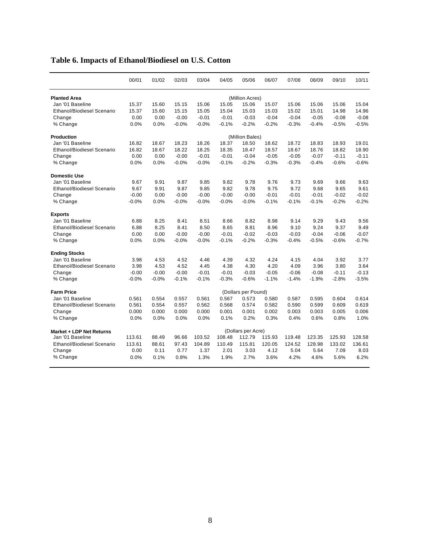|                                   | 00/01   | 01/02   | 02/03   | 03/04   | 04/05   | 05/06               | 06/07   | 07/08   | 08/09   | 09/10   | 10/11   |
|-----------------------------------|---------|---------|---------|---------|---------|---------------------|---------|---------|---------|---------|---------|
| <b>Planted Area</b>               |         |         |         |         |         | (Million Acres)     |         |         |         |         |         |
| Jan '01 Baseline                  | 15.37   | 15.60   | 15.15   | 15.06   | 15.05   | 15.06               | 15.07   | 15.06   | 15.06   | 15.06   | 15.04   |
| <b>Ethanol/Biodiesel Scenario</b> | 15.37   | 15.60   | 15.15   | 15.05   | 15.04   | 15.03               | 15.03   | 15.02   | 15.01   | 14.98   | 14.96   |
| Change                            | 0.00    | 0.00    | $-0.00$ | $-0.01$ | $-0.01$ | $-0.03$             | $-0.04$ | $-0.04$ | $-0.05$ | $-0.08$ | $-0.08$ |
| % Change                          | 0.0%    | 0.0%    | $-0.0%$ | $-0.0%$ | $-0.1%$ | $-0.2%$             | $-0.2%$ | $-0.3%$ | $-0.4%$ | $-0.5%$ | $-0.5%$ |
| Production                        |         |         |         |         |         | (Million Bales)     |         |         |         |         |         |
| Jan '01 Baseline                  | 16.82   | 18.67   | 18.23   | 18.26   | 18.37   | 18.50               | 18.62   | 18.72   | 18.83   | 18.93   | 19.01   |
| Ethanol/Biodiesel Scenario        | 16.82   | 18.67   | 18.22   | 18.25   | 18.35   | 18.47               | 18.57   | 18.67   | 18.76   | 18.82   | 18.90   |
| Change                            | 0.00    | 0.00    | $-0.00$ | $-0.01$ | $-0.01$ | $-0.04$             | $-0.05$ | $-0.05$ | $-0.07$ | $-0.11$ | $-0.11$ |
| % Change                          | 0.0%    | 0.0%    | $-0.0%$ | $-0.0%$ | $-0.1%$ | $-0.2%$             | $-0.3%$ | $-0.3%$ | $-0.4%$ | $-0.6%$ | $-0.6%$ |
| <b>Domestic Use</b>               |         |         |         |         |         |                     |         |         |         |         |         |
| Jan '01 Baseline                  | 9.67    | 9.91    | 9.87    | 9.85    | 9.82    | 9.78                | 9.76    | 9.73    | 9.69    | 9.66    | 9.63    |
| <b>Ethanol/Biodiesel Scenario</b> | 9.67    | 9.91    | 9.87    | 9.85    | 9.82    | 9.78                | 9.75    | 9.72    | 9.68    | 9.65    | 9.61    |
| Change                            | $-0.00$ | 0.00    | $-0.00$ | $-0.00$ | $-0.00$ | $-0.00$             | $-0.01$ | $-0.01$ | $-0.01$ | $-0.02$ | $-0.02$ |
| % Change                          | $-0.0%$ | 0.0%    | $-0.0%$ | $-0.0%$ | $-0.0%$ | $-0.0%$             | $-0.1%$ | $-0.1%$ | $-0.1%$ | $-0.2%$ | $-0.2%$ |
| <b>Exports</b>                    |         |         |         |         |         |                     |         |         |         |         |         |
| Jan '01 Baseline                  | 6.88    | 8.25    | 8.41    | 8.51    | 8.66    | 8.82                | 8.98    | 9.14    | 9.29    | 9.43    | 9.56    |
| Ethanol/Biodiesel Scenario        | 6.88    | 8.25    | 8.41    | 8.50    | 8.65    | 8.81                | 8.96    | 9.10    | 9.24    | 9.37    | 9.49    |
| Change                            | 0.00    | 0.00    | $-0.00$ | $-0.00$ | $-0.01$ | $-0.02$             | $-0.03$ | $-0.03$ | $-0.04$ | $-0.06$ | $-0.07$ |
| % Change                          | 0.0%    | 0.0%    | $-0.0%$ | $-0.0%$ | $-0.1%$ | $-0.2%$             | $-0.3%$ | $-0.4%$ | $-0.5%$ | $-0.6%$ | $-0.7%$ |
| <b>Ending Stocks</b>              |         |         |         |         |         |                     |         |         |         |         |         |
| Jan '01 Baseline                  | 3.98    | 4.53    | 4.52    | 4.46    | 4.39    | 4.32                | 4.24    | 4.15    | 4.04    | 3.92    | 3.77    |
| <b>Ethanol/Biodiesel Scenario</b> | 3.98    | 4.53    | 4.52    | 4.45    | 4.38    | 4.30                | 4.20    | 4.09    | 3.96    | 3.80    | 3.64    |
| Change                            | $-0.00$ | $-0.00$ | $-0.00$ | $-0.01$ | $-0.01$ | $-0.03$             | $-0.05$ | $-0.06$ | $-0.08$ | $-0.11$ | $-0.13$ |
| % Change                          | $-0.0%$ | $-0.0%$ | $-0.1%$ | $-0.1%$ | $-0.3%$ | $-0.6%$             | $-1.1%$ | $-1.4%$ | $-1.9%$ | $-2.8%$ | $-3.5%$ |
| <b>Farm Price</b>                 |         |         |         |         |         | (Dollars per Pound) |         |         |         |         |         |
| Jan '01 Baseline                  | 0.561   | 0.554   | 0.557   | 0.561   | 0.567   | 0.573               | 0.580   | 0.587   | 0.595   | 0.604   | 0.614   |
| <b>Ethanol/Biodiesel Scenario</b> | 0.561   | 0.554   | 0.557   | 0.562   | 0.568   | 0.574               | 0.582   | 0.590   | 0.599   | 0.609   | 0.619   |
| Change                            | 0.000   | 0.000   | 0.000   | 0.000   | 0.001   | 0.001               | 0.002   | 0.003   | 0.003   | 0.005   | 0.006   |
| % Change                          | 0.0%    | 0.0%    | 0.0%    | 0.0%    | 0.1%    | 0.2%                | 0.3%    | 0.4%    | 0.6%    | 0.8%    | 1.0%    |
| Market + LDP Net Returns          |         |         |         |         |         | (Dollars per Acre)  |         |         |         |         |         |
| Jan '01 Baseline                  | 113.61  | 88.49   | 96.66   | 103.52  | 108.48  | 112.79              | 115.93  | 119.48  | 123.35  | 125.93  | 128.58  |
| <b>Ethanol/Biodiesel Scenario</b> | 113.61  | 88.61   | 97.43   | 104.89  | 110.49  | 115.81              | 120.05  | 124.52  | 128.98  | 133.02  | 136.61  |
| Change                            | 0.00    | 0.11    | 0.77    | 1.37    | 2.01    | 3.03                | 4.12    | 5.04    | 5.64    | 7.09    | 8.03    |
| % Change                          | 0.0%    | 0.1%    | 0.8%    | 1.3%    | 1.9%    | 2.7%                | 3.6%    | 4.2%    | 4.6%    | 5.6%    | 6.2%    |
|                                   |         |         |         |         |         |                     |         |         |         |         |         |

## **Table 6. Impacts of Ethanol/Biodiesel on U.S. Cotton**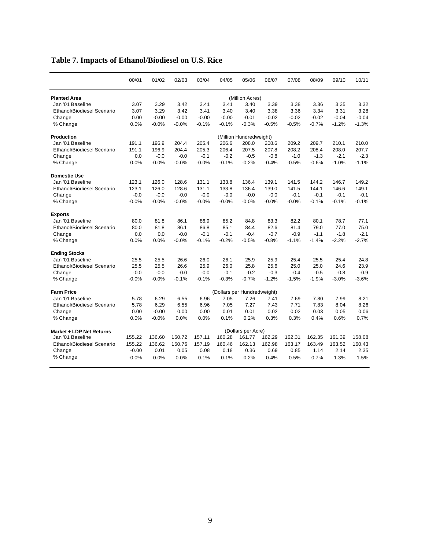|                                   | 00/01   | 01/02   | 02/03   | 03/04   | 04/05                       | 05/06                   | 06/07   | 07/08   | 08/09   | 09/10   | 10/11   |
|-----------------------------------|---------|---------|---------|---------|-----------------------------|-------------------------|---------|---------|---------|---------|---------|
| <b>Planted Area</b>               |         |         |         |         |                             | (Million Acres)         |         |         |         |         |         |
| Jan '01 Baseline                  | 3.07    | 3.29    | 3.42    | 3.41    | 3.41                        | 3.40                    | 3.39    | 3.38    | 3.36    | 3.35    | 3.32    |
| <b>Ethanol/Biodiesel Scenario</b> | 3.07    | 3.29    | 3.42    | 3.41    | 3.40                        | 3.40                    | 3.38    | 3.36    | 3.34    | 3.31    | 3.28    |
| Change                            | 0.00    | $-0.00$ | $-0.00$ | $-0.00$ | $-0.00$                     | $-0.01$                 | $-0.02$ | $-0.02$ | $-0.02$ | $-0.04$ | $-0.04$ |
| % Change                          | 0.0%    | $-0.0%$ | $-0.0%$ | $-0.1%$ | $-0.1%$                     | $-0.3%$                 | $-0.5%$ | $-0.5%$ | $-0.7%$ | $-1.2%$ | $-1.3%$ |
| Production                        |         |         |         |         |                             | (Million Hundredweight) |         |         |         |         |         |
| Jan '01 Baseline                  | 191.1   | 196.9   | 204.4   | 205.4   | 206.6                       | 208.0                   | 208.6   | 209.2   | 209.7   | 210.1   | 210.0   |
| <b>Ethanol/Biodiesel Scenario</b> | 191.1   | 196.9   | 204.4   | 205.3   | 206.4                       | 207.5                   | 207.8   | 208.2   | 208.4   | 208.0   | 207.7   |
| Change                            | 0.0     | -0.0    | $-0.0$  | $-0.1$  | $-0.2$                      | $-0.5$                  | $-0.8$  | $-1.0$  | $-1.3$  | $-2.1$  | $-2.3$  |
| % Change                          | 0.0%    | $-0.0%$ | $-0.0%$ | $-0.0%$ | $-0.1%$                     | $-0.2%$                 | $-0.4%$ | $-0.5%$ | $-0.6%$ | $-1.0%$ | $-1.1%$ |
| <b>Domestic Use</b>               |         |         |         |         |                             |                         |         |         |         |         |         |
| Jan '01 Baseline                  | 123.1   | 126.0   | 128.6   | 131.1   | 133.8                       | 136.4                   | 139.1   | 141.5   | 144.2   | 146.7   | 149.2   |
| <b>Ethanol/Biodiesel Scenario</b> | 123.1   | 126.0   | 128.6   | 131.1   | 133.8                       | 136.4                   | 139.0   | 141.5   | 144.1   | 146.6   | 149.1   |
| Change                            | $-0.0$  | $-0.0$  | $-0.0$  | $-0.0$  | $-0.0$                      | $-0.0$                  | $-0.0$  | $-0.1$  | $-0.1$  | $-0.1$  | $-0.1$  |
| % Change                          | $-0.0%$ | $-0.0%$ | $-0.0%$ | $-0.0%$ | $-0.0%$                     | $-0.0%$                 | $-0.0%$ | $-0.0%$ | $-0.1%$ | $-0.1%$ | $-0.1%$ |
| <b>Exports</b>                    |         |         |         |         |                             |                         |         |         |         |         |         |
| Jan '01 Baseline                  | 80.0    | 81.8    | 86.1    | 86.9    | 85.2                        | 84.8                    | 83.3    | 82.2    | 80.1    | 78.7    | 77.1    |
| <b>Ethanol/Biodiesel Scenario</b> | 80.0    | 81.8    | 86.1    | 86.8    | 85.1                        | 84.4                    | 82.6    | 81.4    | 79.0    | 77.0    | 75.0    |
| Change                            | 0.0     | 0.0     | $-0.0$  | $-0.1$  | $-0.1$                      | $-0.4$                  | $-0.7$  | $-0.9$  | $-1.1$  | $-1.8$  | $-2.1$  |
| % Change                          | 0.0%    | 0.0%    | $-0.0%$ | $-0.1%$ | $-0.2%$                     | $-0.5%$                 | $-0.8%$ | $-1.1%$ | $-1.4%$ | $-2.2%$ | $-2.7%$ |
| <b>Ending Stocks</b>              |         |         |         |         |                             |                         |         |         |         |         |         |
| Jan '01 Baseline                  | 25.5    | 25.5    | 26.6    | 26.0    | 26.1                        | 25.9                    | 25.9    | 25.4    | 25.5    | 25.4    | 24.8    |
| Ethanol/Biodiesel Scenario        | 25.5    | 25.5    | 26.6    | 25.9    | 26.0                        | 25.8                    | 25.6    | 25.0    | 25.0    | 24.6    | 23.9    |
| Change                            | $-0.0$  | $-0.0$  | $-0.0$  | $-0.0$  | $-0.1$                      | $-0.2$                  | $-0.3$  | $-0.4$  | $-0.5$  | $-0.8$  | $-0.9$  |
| % Change                          | $-0.0%$ | $-0.0%$ | $-0.1%$ | $-0.1%$ | $-0.3%$                     | $-0.7%$                 | $-1.2%$ | $-1.5%$ | $-1.9%$ | $-3.0%$ | $-3.6%$ |
| <b>Farm Price</b>                 |         |         |         |         | (Dollars per Hundredweight) |                         |         |         |         |         |         |
| Jan '01 Baseline                  | 5.78    | 6.29    | 6.55    | 6.96    | 7.05                        | 7.26                    | 7.41    | 7.69    | 7.80    | 7.99    | 8.21    |
| <b>Ethanol/Biodiesel Scenario</b> | 5.78    | 6.29    | 6.55    | 6.96    | 7.05                        | 7.27                    | 7.43    | 7.71    | 7.83    | 8.04    | 8.26    |
| Change                            | 0.00    | $-0.00$ | 0.00    | 0.00    | 0.01                        | 0.01                    | 0.02    | 0.02    | 0.03    | 0.05    | 0.06    |
| % Change                          | 0.0%    | $-0.0%$ | 0.0%    | 0.0%    | 0.1%                        | 0.2%                    | 0.3%    | 0.3%    | 0.4%    | 0.6%    | 0.7%    |
| Market + LDP Net Returns          |         |         |         |         |                             | (Dollars per Acre)      |         |         |         |         |         |
| Jan '01 Baseline                  | 155.22  | 136.60  | 150.72  | 157.11  | 160.28                      | 161.77                  | 162.29  | 162.31  | 162.35  | 161.39  | 158.08  |
| <b>Ethanol/Biodiesel Scenario</b> | 155.22  | 136.62  | 150.76  | 157.19  | 160.46                      | 162.13                  | 162.98  | 163.17  | 163.49  | 163.52  | 160.43  |
| Change                            | $-0.00$ | 0.01    | 0.05    | 0.08    | 0.18                        | 0.36                    | 0.69    | 0.85    | 1.14    | 2.14    | 2.35    |
| % Change                          | $-0.0%$ | 0.0%    | 0.0%    | 0.1%    | 0.1%                        | 0.2%                    | 0.4%    | 0.5%    | 0.7%    | 1.3%    | 1.5%    |
|                                   |         |         |         |         |                             |                         |         |         |         |         |         |

## **Table 7. Impacts of Ethanol/Biodiesel on U.S. Rice**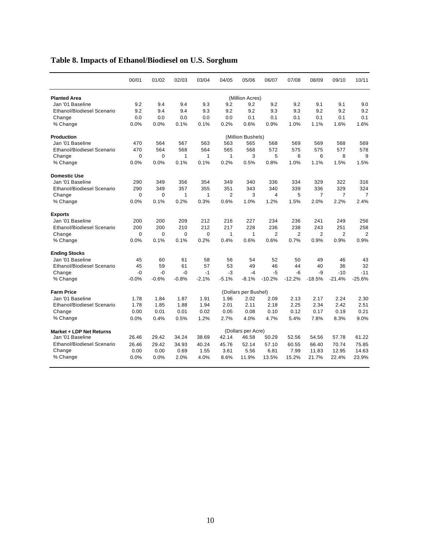|                                   | 00/01   | 01/02   | 02/03        | 03/04   | 04/05          | 05/06                | 06/07          | 07/08          | 08/09          | 09/10          | 10/11          |
|-----------------------------------|---------|---------|--------------|---------|----------------|----------------------|----------------|----------------|----------------|----------------|----------------|
| <b>Planted Area</b>               |         |         |              |         |                | (Million Acres)      |                |                |                |                |                |
| Jan '01 Baseline                  | 9.2     | 9.4     | 9.4          | 9.3     | 9.2            | 9.2                  | 9.2            | 9.2            | 9.1            | 9.1            | 9.0            |
| <b>Ethanol/Biodiesel Scenario</b> | 9.2     | 9.4     | 9.4          | 9.3     | 9.2            | 9.2                  | 9.3            | 9.3            | 9.2            | 9.2            | 9.2            |
| Change                            | 0.0     | 0.0     | 0.0          | 0.0     | 0.0            | 0.1                  | 0.1            | 0.1            | 0.1            | 0.1            | 0.1            |
| % Change                          | 0.0%    | 0.0%    | 0.1%         | 0.1%    | 0.2%           | 0.6%                 | 0.9%           | 1.0%           | 1.1%           | 1.6%           | 1.6%           |
| <b>Production</b>                 |         |         |              |         |                | (Million Bushels)    |                |                |                |                |                |
| Jan '01 Baseline                  | 470     | 564     | 567          | 563     | 563            | 565                  | 568            | 569            | 569            | 568            | 569            |
| <b>Ethanol/Biodiesel Scenario</b> | 470     | 564     | 568          | 564     | 565            | 568                  | 572            | 575            | 575            | 577            | 578            |
| Change                            | 0       | 0       | $\mathbf{1}$ | 1       | $\mathbf{1}$   | 3                    | 5              | 6              | 6              | 8              | 9              |
| % Change                          | 0.0%    | 0.0%    | 0.1%         | 0.1%    | 0.2%           | 0.5%                 | 0.8%           | 1.0%           | 1.1%           | 1.5%           | 1.5%           |
| <b>Domestic Use</b>               |         |         |              |         |                |                      |                |                |                |                |                |
| Jan '01 Baseline                  | 290     | 349     | 356          | 354     | 349            | 340                  | 336            | 334            | 329            | 322            | 316            |
| <b>Ethanol/Biodiesel Scenario</b> | 290     | 349     | 357          | 355     | 351            | 343                  | 340            | 339            | 336            | 329            | 324            |
| Change                            | 0       | 0       | $\mathbf{1}$ | 1       | $\overline{2}$ | 3                    | 4              | 5              | $\overline{7}$ | $\overline{7}$ | $\overline{7}$ |
| % Change                          | 0.0%    | 0.1%    | 0.2%         | 0.3%    | 0.6%           | 1.0%                 | 1.2%           | 1.5%           | 2.0%           | 2.2%           | 2.4%           |
| <b>Exports</b>                    |         |         |              |         |                |                      |                |                |                |                |                |
| Jan '01 Baseline                  | 200     | 200     | 209          | 212     | 216            | 227                  | 234            | 236            | 241            | 249            | 256            |
| <b>Ethanol/Biodiesel Scenario</b> | 200     | 200     | 210          | 212     | 217            | 228                  | 236            | 238            | 243            | 251            | 258            |
| Change                            | 0       | 0       | 0            | 0       | $\mathbf{1}$   | $\mathbf{1}$         | $\overline{2}$ | $\overline{2}$ | $\overline{2}$ | $\overline{2}$ | $\overline{2}$ |
| % Change                          | 0.0%    | 0.1%    | 0.1%         | 0.2%    | 0.4%           | 0.6%                 | 0.6%           | 0.7%           | 0.9%           | 0.9%           | 0.9%           |
| <b>Ending Stocks</b>              |         |         |              |         |                |                      |                |                |                |                |                |
| Jan '01 Baseline                  | 45      | 60      | 61           | 58      | 56             | 54                   | 52             | 50             | 49             | 46             | 43             |
| Ethanol/Biodiesel Scenario        | 45      | 59      | 61           | 57      | 53             | 49                   | 46             | 44             | 40             | 36             | 32             |
| Change                            | -0      | $-0$    | $-0$         | $-1$    | -3             | $-4$                 | $-5$           | -6             | -9             | $-10$          | $-11$          |
| % Change                          | $-0.0%$ | $-0.6%$ | $-0.8%$      | $-2.1%$ | $-5.1%$        | $-8.1%$              | $-10.2%$       | $-12.2%$       | $-18.5%$       | $-21.4%$       | $-25.6%$       |
| <b>Farm Price</b>                 |         |         |              |         |                | (Dollars per Bushel) |                |                |                |                |                |
| Jan '01 Baseline                  | 1.78    | 1.84    | 1.87         | 1.91    | 1.96           | 2.02                 | 2.09           | 2.13           | 2.17           | 2.24           | 2.30           |
| Ethanol/Biodiesel Scenario        | 1.78    | 1.85    | 1.88         | 1.94    | 2.01           | 2.11                 | 2.18           | 2.25           | 2.34           | 2.42           | 2.51           |
| Change                            | 0.00    | 0.01    | 0.01         | 0.02    | 0.05           | 0.08                 | 0.10           | 0.12           | 0.17           | 0.19           | 0.21           |
| % Change                          | 0.0%    | 0.4%    | 0.5%         | 1.2%    | 2.7%           | 4.0%                 | 4.7%           | 5.4%           | 7.8%           | 8.3%           | 9.0%           |
| Market + LDP Net Returns          |         |         |              |         |                | (Dollars per Acre)   |                |                |                |                |                |
| Jan '01 Baseline                  | 26.46   | 29.42   | 34.24        | 38.69   | 42.14          | 46.58                | 50.29          | 52.56          | 54.56          | 57.78          | 61.22          |
| <b>Ethanol/Biodiesel Scenario</b> | 26.46   | 29.42   | 34.93        | 40.24   | 45.76          | 52.14                | 57.10          | 60.55          | 66.40          | 70.74          | 75.85          |
| Change                            | 0.00    | 0.00    | 0.69         | 1.55    | 3.61           | 5.56                 | 6.81           | 7.99           | 11.83          | 12.95          | 14.63          |
| % Change                          | 0.0%    | 0.0%    | 2.0%         | 4.0%    | 8.6%           | 11.9%                | 13.5%          | 15.2%          | 21.7%          | 22.4%          | 23.9%          |

## **Table 8. Impacts of Ethanol/Biodiesel on U.S. Sorghum**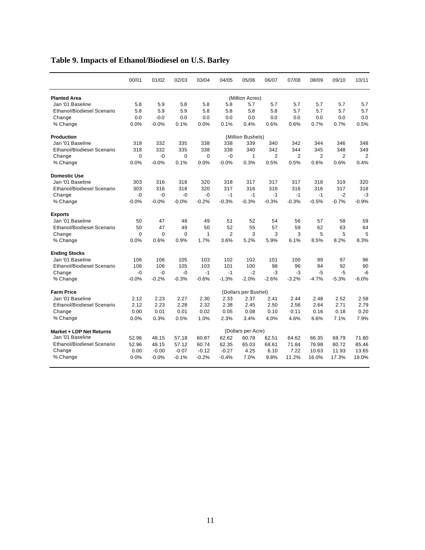|                                   | 00/01   | 01/02   | 02/03   | 03/04   | 04/05          | 05/06                | 06/07          | 07/08          | 08/09          | 09/10          | 10/11          |
|-----------------------------------|---------|---------|---------|---------|----------------|----------------------|----------------|----------------|----------------|----------------|----------------|
| <b>Planted Area</b>               |         |         |         |         |                | (Million Acres)      |                |                |                |                |                |
| Jan '01 Baseline                  | 5.8     | 5.9     | 5.8     | 5.8     | 5.8            | 5.7                  | 5.7            | 5.7            | 5.7            | 5.7            | 5.7            |
| <b>Ethanol/Biodiesel Scenario</b> | 5.8     | 5.9     | 5.9     | 5.8     | 5.8            | 5.8                  | 5.8            | 5.7            | 5.7            | 5.7            | 5.7            |
| Change                            | 0.0     | $-0.0$  | 0.0     | 0.0     | 0.0            | 0.0                  | 0.0            | 0.0            | 0.0            | 0.0            | 0.0            |
| % Change                          | 0.0%    | $-0.0%$ | 0.1%    | 0.0%    | 0.1%           | 0.4%                 | 0.6%           | 0.6%           | 0.7%           | 0.7%           | 0.5%           |
| <b>Production</b>                 |         |         |         |         |                | (Million Bushels)    |                |                |                |                |                |
| Jan '01 Baseline                  | 318     | 332     | 335     | 338     | 338            | 339                  | 340            | 342            | 344            | 346            | 348            |
| Ethanol/Biodiesel Scenario        | 318     | 332     | 335     | 338     | 338            | 340                  | 342            | 344            | 345            | 348            | 349            |
| Change                            | 0       | -0      | 0       | 0       | -0             | $\mathbf{1}$         | $\overline{2}$ | $\overline{2}$ | $\overline{2}$ | $\overline{2}$ | $\overline{2}$ |
| % Change                          | 0.0%    | $-0.0%$ | 0.1%    | 0.0%    | $-0.0%$        | 0.3%                 | 0.5%           | 0.5%           | 0.6%           | 0.6%           | 0.4%           |
| <b>Domestic Use</b>               |         |         |         |         |                |                      |                |                |                |                |                |
| Jan '01 Baseline                  | 303     | 316     | 318     | 320     | 318            | 317                  | 317            | 317            | 318            | 319            | 320            |
| <b>Ethanol/Biodiesel Scenario</b> | 303     | 316     | 318     | 320     | 317            | 316                  | 316            | 316            | 316            | 317            | 318            |
| Change                            | $-0$    | $-0$    | $-0$    | $-0$    | $-1$           | $-1$                 | $-1$           | $-1$           | $-1$           | $-2$           | $-3$           |
| % Change                          | $-0.0%$ | $-0.0%$ | $-0.0%$ | $-0.2%$ | $-0.3%$        | $-0.3%$              | $-0.3%$        | $-0.3%$        | $-0.5%$        | $-0.7%$        | $-0.9%$        |
| <b>Exports</b>                    |         |         |         |         |                |                      |                |                |                |                |                |
| Jan '01 Baseline                  | 50      | 47      | 48      | 49      | 51             | 52                   | 54             | 56             | 57             | 58             | 59             |
| <b>Ethanol/Biodiesel Scenario</b> | 50      | 47      | 49      | 50      | 52             | 55                   | 57             | 59             | 62             | 63             | 64             |
| Change                            | 0       | 0       | 0       | 1       | $\overline{2}$ | 3                    | 3              | 3              | 5              | 5              | 5              |
| % Change                          | 0.0%    | 0.6%    | 0.9%    | 1.7%    | 3.6%           | 5.2%                 | 5.9%           | 6.1%           | 8.5%           | 8.2%           | 8.3%           |
| <b>Ending Stocks</b>              |         |         |         |         |                |                      |                |                |                |                |                |
| Jan '01 Baseline                  | 106     | 106     | 105     | 103     | 102            | 102                  | 101            | 100            | 99             | 97             | 96             |
| <b>Ethanol/Biodiesel Scenario</b> | 106     | 106     | 105     | 103     | 101            | 100                  | 98             | 96             | 94             | 92             | 90             |
| Change                            | -0      | $-0$    | $-0$    | $-1$    | $-1$           | $-2$                 | -3             | -3             | $-5$           | $-5$           | -6             |
| % Change                          | $-0.0%$ | $-0.2%$ | $-0.3%$ | $-0.6%$ | $-1.3%$        | $-2.0%$              | $-2.6%$        | $-3.2%$        | $-4.7%$        | $-5.3%$        | $-6.0%$        |
| <b>Farm Price</b>                 |         |         |         |         |                | (Dollars per Bushel) |                |                |                |                |                |
| Jan '01 Baseline                  | 2.12    | 2.23    | 2.27    | 2.30    | 2.33           | 2.37                 | 2.41           | 2.44           | 2.48           | 2.52           | 2.58           |
| Ethanol/Biodiesel Scenario        | 2.12    | 2.23    | 2.28    | 2.32    | 2.38           | 2.45                 | 2.50           | 2.56           | 2.64           | 2.71           | 2.79           |
| Change                            | 0.00    | 0.01    | 0.01    | 0.02    | 0.05           | 0.08                 | 0.10           | 0.11           | 0.16           | 0.18           | 0.20           |
| % Change                          | 0.0%    | 0.3%    | 0.5%    | 1.0%    | 2.3%           | 3.4%                 | 4.0%           | 4.6%           | 6.6%           | 7.1%           | 7.9%           |
| Market + LDP Net Returns          |         |         |         |         |                | (Dollars per Acre)   |                |                |                |                |                |
| Jan '01 Baseline                  | 52.96   | 48.15   | 57.18   | 60.87   | 62.62          | 60.78                | 62.51          | 64.62          | 66.35          | 68.79          | 71.80          |
| <b>Ethanol/Biodiesel Scenario</b> | 52.96   | 48.15   | 57.12   | 60.74   | 62.35          | 65.03                | 68.61          | 71.84          | 76.98          | 80.72          | 85.46          |
| Change                            | 0.00    | $-0.00$ | $-0.07$ | $-0.12$ | $-0.27$        | 4.25                 | 6.10           | 7.22           | 10.63          | 11.93          | 13.65          |
| % Change                          | 0.0%    | $-0.0%$ | $-0.1%$ | $-0.2%$ | $-0.4%$        | 7.0%                 | 9.8%           | 11.2%          | 16.0%          | 17.3%          | 19.0%          |
|                                   |         |         |         |         |                |                      |                |                |                |                |                |

## **Table 9. Impacts of Ethanol/Biodiesel on U.S. Barley**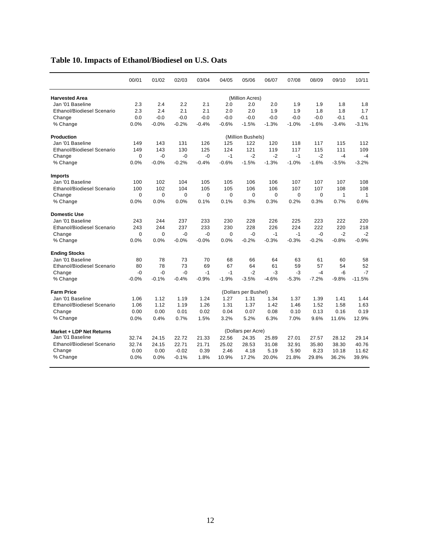|                                   | 00/01    | 01/02    | 02/03    | 03/04    | 04/05    | 05/06                | 06/07    | 07/08       | 08/09    | 09/10        | 10/11    |
|-----------------------------------|----------|----------|----------|----------|----------|----------------------|----------|-------------|----------|--------------|----------|
| <b>Harvested Area</b>             |          |          |          |          |          | (Million Acres)      |          |             |          |              |          |
| Jan '01 Baseline                  | 2.3      | 2.4      | 2.2      | 2.1      | 2.0      | 2.0                  | 2.0      | 1.9         | 1.9      | 1.8          | 1.8      |
| <b>Ethanol/Biodiesel Scenario</b> | 2.3      | 2.4      | 2.1      | 2.1      | 2.0      | 2.0                  | 1.9      | 1.9         | 1.8      | 1.8          | 1.7      |
| Change                            | 0.0      | $-0.0$   | $-0.0$   | $-0.0$   | $-0.0$   | $-0.0$               | $-0.0$   | $-0.0$      | $-0.0$   | $-0.1$       | $-0.1$   |
| % Change                          | 0.0%     | $-0.0%$  | $-0.2%$  | $-0.4%$  | $-0.6%$  | $-1.5%$              | $-1.3%$  | $-1.0%$     | $-1.6%$  | $-3.4%$      | $-3.1%$  |
| <b>Production</b>                 |          |          |          |          |          | (Million Bushels)    |          |             |          |              |          |
| Jan '01 Baseline                  | 149      | 143      | 131      | 126      | 125      | 122                  | 120      | 118         | 117      | 115          | 112      |
| <b>Ethanol/Biodiesel Scenario</b> | 149      | 143      | 130      | 125      | 124      | 121                  | 119      | 117         | 115      | 111          | 109      |
| Change                            | $\Omega$ | $-0$     | $-0$     | $-0$     | $-1$     | $-2$                 | $-2$     | $-1$        | $-2$     | $-4$         | $-4$     |
| % Change                          | 0.0%     | $-0.0%$  | $-0.2%$  | $-0.4%$  | $-0.6%$  | $-1.5%$              | $-1.3%$  | $-1.0%$     | $-1.6%$  | $-3.5%$      | $-3.2%$  |
| <b>Imports</b>                    |          |          |          |          |          |                      |          |             |          |              |          |
| Jan '01 Baseline                  | 100      | 102      | 104      | 105      | 105      | 106                  | 106      | 107         | 107      | 107          | 108      |
| <b>Ethanol/Biodiesel Scenario</b> | 100      | 102      | 104      | 105      | 105      | 106                  | 106      | 107         | 107      | 108          | 108      |
| Change                            | $\Omega$ | $\Omega$ | $\Omega$ | $\Omega$ | $\Omega$ | $\Omega$             | $\Omega$ | $\mathbf 0$ | $\Omega$ | $\mathbf{1}$ | 1        |
| % Change                          | 0.0%     | 0.0%     | 0.0%     | 0.1%     | 0.1%     | 0.3%                 | 0.3%     | 0.2%        | 0.3%     | 0.7%         | 0.6%     |
| <b>Domestic Use</b>               |          |          |          |          |          |                      |          |             |          |              |          |
| Jan '01 Baseline                  | 243      | 244      | 237      | 233      | 230      | 228                  | 226      | 225         | 223      | 222          | 220      |
| <b>Ethanol/Biodiesel Scenario</b> | 243      | 244      | 237      | 233      | 230      | 228                  | 226      | 224         | 222      | 220          | 218      |
| Change                            | $\Omega$ | $\Omega$ | $-0$     | $-0$     | $\Omega$ | $-0$                 | $-1$     | $-1$        | $-0$     | $-2$         | $-2$     |
| % Change                          | 0.0%     | 0.0%     | $-0.0%$  | $-0.0%$  | 0.0%     | $-0.2%$              | $-0.3%$  | $-0.3%$     | $-0.2%$  | $-0.8%$      | $-0.9%$  |
| <b>Ending Stocks</b>              |          |          |          |          |          |                      |          |             |          |              |          |
| Jan '01 Baseline                  | 80       | 78       | 73       | 70       | 68       | 66                   | 64       | 63          | 61       | 60           | 58       |
| <b>Ethanol/Biodiesel Scenario</b> | 80       | 78       | 73       | 69       | 67       | 64                   | 61       | 59          | 57       | 54           | 52       |
| Change                            | $-0$     | $-0$     | $-0$     | $-1$     | $-1$     | $-2$                 | $-3$     | -3          | $-4$     | $-6$         | $-7$     |
| % Change                          | $-0.0%$  | $-0.1%$  | $-0.4%$  | $-0.9%$  | $-1.9%$  | $-3.5%$              | $-4.6%$  | $-5.3%$     | $-7.2%$  | $-9.8%$      | $-11.5%$ |
| <b>Farm Price</b>                 |          |          |          |          |          | (Dollars per Bushel) |          |             |          |              |          |
| Jan '01 Baseline                  | 1.06     | 1.12     | 1.19     | 1.24     | 1.27     | 1.31                 | 1.34     | 1.37        | 1.39     | 1.41         | 1.44     |
| <b>Ethanol/Biodiesel Scenario</b> | 1.06     | 1.12     | 1.19     | 1.26     | 1.31     | 1.37                 | 1.42     | 1.46        | 1.52     | 1.58         | 1.63     |
| Change                            | 0.00     | 0.00     | 0.01     | 0.02     | 0.04     | 0.07                 | 0.08     | 0.10        | 0.13     | 0.16         | 0.19     |
| % Change                          | 0.0%     | 0.4%     | 0.7%     | 1.5%     | 3.2%     | 5.2%                 | 6.3%     | 7.0%        | 9.6%     | 11.6%        | 12.9%    |
| Market + LDP Net Returns          |          |          |          |          |          | (Dollars per Acre)   |          |             |          |              |          |
| Jan '01 Baseline                  | 32.74    | 24.15    | 22.72    | 21.33    | 22.56    | 24.35                | 25.89    | 27.01       | 27.57    | 28.12        | 29.14    |
| <b>Ethanol/Biodiesel Scenario</b> | 32.74    | 24.15    | 22.71    | 21.71    | 25.02    | 28.53                | 31.08    | 32.91       | 35.80    | 38.30        | 40.76    |
| Change                            | 0.00     | 0.00     | $-0.02$  | 0.39     | 2.46     | 4.18                 | 5.19     | 5.90        | 8.23     | 10.18        | 11.62    |
| % Change                          | 0.0%     | 0.0%     | $-0.1%$  | 1.8%     | 10.9%    | 17.2%                | 20.0%    | 21.8%       | 29.8%    | 36.2%        | 39.9%    |

## **Table 10. Impacts of Ethanol/Biodiesel on U.S. Oats**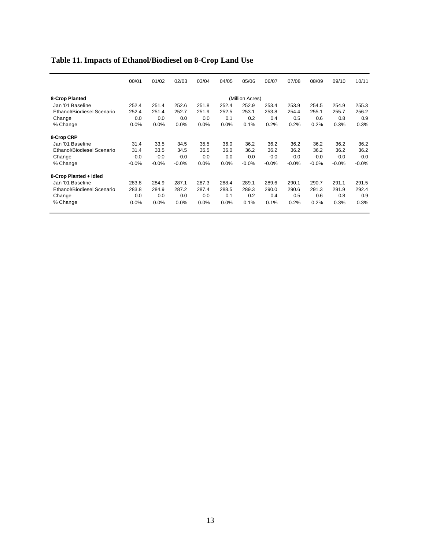|                            | 00/01   | 01/02   | 02/03   | 03/04 | 04/05   | 05/06           | 06/07   | 07/08   | 08/09   | 09/10   | 10/11   |
|----------------------------|---------|---------|---------|-------|---------|-----------------|---------|---------|---------|---------|---------|
| 8-Crop Planted             |         |         |         |       |         | (Million Acres) |         |         |         |         |         |
| Jan '01 Baseline           | 252.4   | 251.4   | 252.6   | 251.8 | 252.4   | 252.9           | 253.4   | 253.9   | 254.5   | 254.9   | 255.3   |
| Ethanol/Biodiesel Scenario | 252.4   | 251.4   | 252.7   | 251.9 | 252.5   | 253.1           | 253.8   | 254.4   | 255.1   | 255.7   | 256.2   |
| Change                     | 0.0     | 0.0     | 0.0     | 0.0   | 0.1     | 0.2             | 0.4     | 0.5     | 0.6     | 0.8     | 0.9     |
| % Change                   | 0.0%    | 0.0%    | 0.0%    | 0.0%  | 0.0%    | 0.1%            | 0.2%    | 0.2%    | 0.2%    | 0.3%    | 0.3%    |
| 8-Crop CRP                 |         |         |         |       |         |                 |         |         |         |         |         |
| Jan '01 Baseline           | 31.4    | 33.5    | 34.5    | 35.5  | 36.0    | 36.2            | 36.2    | 36.2    | 36.2    | 36.2    | 36.2    |
| Ethanol/Biodiesel Scenario | 31.4    | 33.5    | 34.5    | 35.5  | 36.0    | 36.2            | 36.2    | 36.2    | 36.2    | 36.2    | 36.2    |
| Change                     | $-0.0$  | $-0.0$  | $-0.0$  | 0.0   | 0.0     | $-0.0$          | $-0.0$  | $-0.0$  | $-0.0$  | $-0.0$  | $-0.0$  |
| % Change                   | $-0.0%$ | $-0.0%$ | $-0.0%$ | 0.0%  | $0.0\%$ | $-0.0%$         | $-0.0%$ | $-0.0%$ | $-0.0%$ | $-0.0%$ | $-0.0%$ |
| 8-Crop Planted + Idled     |         |         |         |       |         |                 |         |         |         |         |         |
| Jan '01 Baseline           | 283.8   | 284.9   | 287.1   | 287.3 | 288.4   | 289.1           | 289.6   | 290.1   | 290.7   | 291.1   | 291.5   |

 Ethanol/Biodiesel Scenario 283.8 284.9 287.2 287.4 288.5 289.3 290.0 290.6 291.3 291.9 292.4 Change 2010 0.0 0.0 0.0 0.0 0.0 0.1 0.2 0.4 0.5 0.6 0.8 0.9 % Change 0.0% 0.0% 0.0% 0.0% 0.0% 0.1% 0.1% 0.2% 0.2% 0.3% 0.3%

#### **Table 11. Impacts of Ethanol/Biodiesel on 8-Crop Land Use**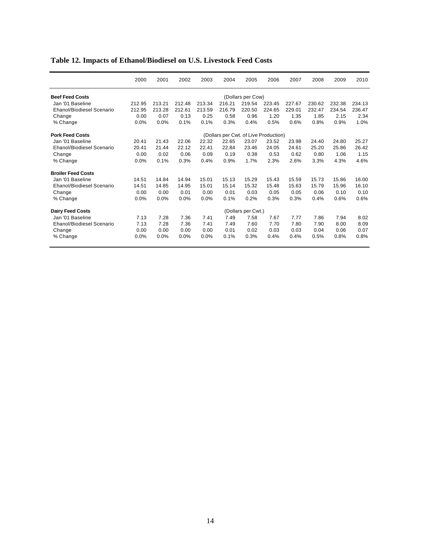|                                  | 2000   | 2001   | 2002   | 2003   | 2004                                  | 2005               | 2006   | 2007   | 2008   | 2009   | 2010   |
|----------------------------------|--------|--------|--------|--------|---------------------------------------|--------------------|--------|--------|--------|--------|--------|
| <b>Beef Feed Costs</b>           |        |        |        |        |                                       | (Dollars per Cow)  |        |        |        |        |        |
| Jan '01 Baseline                 | 212.95 | 213.21 | 212.48 | 213.34 | 216.21                                | 219.54             | 223.45 | 227.67 | 230.62 | 232.38 | 234.13 |
| <b>Ehanol/Biodiesel Scenario</b> | 212.95 | 213.28 | 212.61 | 213.59 | 216.79                                | 220.50             | 224.65 | 229.01 | 232.47 | 234.54 | 236.47 |
| Change                           | 0.00   | 0.07   | 0.13   | 0.25   | 0.58                                  | 0.96               | 1.20   | 1.35   | 1.85   | 2.15   | 2.34   |
| % Change                         | 0.0%   | 0.0%   | 0.1%   | 0.1%   | 0.3%                                  | 0.4%               | 0.5%   | 0.6%   | 0.8%   | 0.9%   | 1.0%   |
| <b>Pork Feed Costs</b>           |        |        |        |        | (Dollars per Cwt. of Live Production) |                    |        |        |        |        |        |
| Jan '01 Baseline                 | 20.41  | 21.43  | 22.06  | 22.32  | 22.65                                 | 23.07              | 23.52  | 23.98  | 24.40  | 24.80  | 25.27  |
| Ehanol/Biodiesel Scenario        | 20.41  | 21.44  | 22.12  | 22.41  | 22.84                                 | 23.46              | 24.05  | 24.61  | 25.20  | 25.86  | 26.42  |
| Change                           | 0.00   | 0.02   | 0.06   | 0.09   | 0.19                                  | 0.38               | 0.53   | 0.62   | 0.80   | 1.06   | 1.15   |
| % Change                         | 0.0%   | 0.1%   | 0.3%   | 0.4%   | 0.9%                                  | 1.7%               | 2.3%   | 2.6%   | 3.3%   | 4.3%   | 4.6%   |
| <b>Broiler Feed Costs</b>        |        |        |        |        |                                       |                    |        |        |        |        |        |
| Jan '01 Baseline                 | 14.51  | 14.84  | 14.94  | 15.01  | 15.13                                 | 15.29              | 15.43  | 15.59  | 15.73  | 15.86  | 16.00  |
| Ehanol/Biodiesel Scenario        | 14.51  | 14.85  | 14.95  | 15.01  | 15.14                                 | 15.32              | 15.48  | 15.63  | 15.79  | 15.96  | 16.10  |
| Change                           | 0.00   | 0.00   | 0.01   | 0.00   | 0.01                                  | 0.03               | 0.05   | 0.05   | 0.06   | 0.10   | 0.10   |
| % Change                         | 0.0%   | 0.0%   | 0.0%   | 0.0%   | 0.1%                                  | 0.2%               | 0.3%   | 0.3%   | 0.4%   | 0.6%   | 0.6%   |
| <b>Dairy Feed Costs</b>          |        |        |        |        |                                       | (Dollars per Cwt.) |        |        |        |        |        |
| Jan '01 Baseline                 | 7.13   | 7.28   | 7.36   | 7.41   | 7.49                                  | 7.58               | 7.67   | 7.77   | 7.86   | 7.94   | 8.02   |
| <b>Ehanol/Biodiesel Scenario</b> | 7.13   | 7.28   | 7.36   | 7.41   | 7.49                                  | 7.60               | 7.70   | 7.80   | 7.90   | 8.00   | 8.09   |
| Change                           | 0.00   | 0.00   | 0.00   | 0.00   | 0.01                                  | 0.02               | 0.03   | 0.03   | 0.04   | 0.06   | 0.07   |
| % Change                         | 0.0%   | 0.0%   | 0.0%   | 0.0%   | 0.1%                                  | 0.3%               | 0.4%   | 0.4%   | 0.5%   | 0.8%   | 0.8%   |

## **Table 12. Impacts of Ethanol/Biodiesel on U.S. Livestock Feed Costs**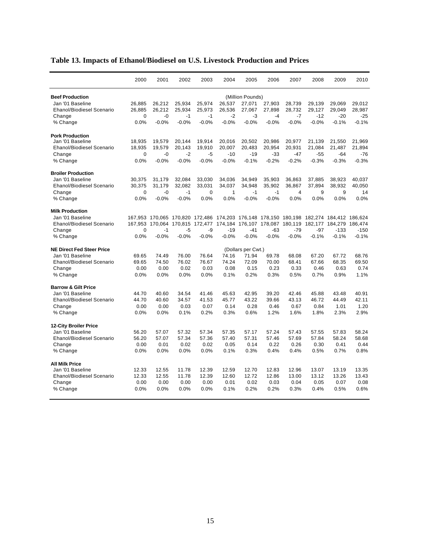|                                  | 2000             | 2001            | 2002    | 2003        | 2004                                    | 2005               | 2006    | 2007    | 2008                                                                                    | 2009    | 2010    |
|----------------------------------|------------------|-----------------|---------|-------------|-----------------------------------------|--------------------|---------|---------|-----------------------------------------------------------------------------------------|---------|---------|
| <b>Beef Production</b>           | (Million Pounds) |                 |         |             |                                         |                    |         |         |                                                                                         |         |         |
| Jan '01 Baseline                 | 26,885           | 26,212          | 25,934  | 25,974      | 26,537                                  | 27,071             | 27,903  | 28,739  | 29,139                                                                                  | 29,069  | 29,012  |
| Ehanol/Biodiesel Scenario        | 26,885           | 26,212          | 25,934  | 25,973      | 26,536                                  | 27,067             | 27,898  | 28,732  | 29,127                                                                                  | 29,049  | 28,987  |
| Change                           | $\mathbf 0$      | $-0$            | $-1$    | $-1$        | $-2$                                    | -3                 | $-4$    | $-7$    | $-12$                                                                                   | $-20$   | $-25$   |
| % Change                         | 0.0%             | $-0.0%$         | $-0.0%$ | $-0.0%$     | $-0.0%$                                 | $-0.0%$            | $-0.0%$ | $-0.0%$ | $-0.0%$                                                                                 | $-0.1%$ | $-0.1%$ |
| <b>Pork Production</b>           |                  |                 |         |             |                                         |                    |         |         |                                                                                         |         |         |
| Jan '01 Baseline                 | 18,935           | 19,579          | 20,144  | 19,914      | 20,016                                  | 20,502             | 20,986  | 20,977  | 21,139                                                                                  | 21,550  | 21,969  |
| Ehanol/Biodiesel Scenario        | 18,935           | 19,579          | 20,143  | 19,910      | 20,007                                  | 20,483             | 20,954  | 20,931  | 21,084                                                                                  | 21,487  | 21,894  |
| Change                           | 0                | $-0$            | $-2$    | $-5$        | $-10$                                   | $-19$              | $-33$   | $-47$   | $-55$                                                                                   | $-64$   | $-76$   |
| % Change                         | 0.0%             | $-0.0%$         | $-0.0%$ | $-0.0%$     | $-0.0%$                                 | $-0.1%$            | $-0.2%$ | $-0.2%$ | $-0.3%$                                                                                 | $-0.3%$ | $-0.3%$ |
| <b>Broiler Production</b>        |                  |                 |         |             |                                         |                    |         |         |                                                                                         |         |         |
| Jan '01 Baseline                 | 30,375           | 31,179          | 32,084  | 33,030      | 34,036                                  | 34,949             | 35,903  | 36,863  | 37,885                                                                                  | 38,923  | 40,037  |
| Ehanol/Biodiesel Scenario        | 30,375           | 31,179          | 32,082  | 33,031      | 34,037                                  | 34,948             | 35,902  | 36,867  | 37,894                                                                                  | 38,932  | 40,050  |
| Change                           | $\mathbf 0$      | -0              | $-1$    | $\mathbf 0$ | 1                                       | $-1$               | $-1$    | 4       | 9                                                                                       | 9       | 14      |
| % Change                         | 0.0%             | $-0.0%$         | $-0.0%$ | 0.0%        | 0.0%                                    | $-0.0%$            | $-0.0%$ | 0.0%    | 0.0%                                                                                    | 0.0%    | 0.0%    |
| <b>Milk Production</b>           |                  |                 |         |             |                                         |                    |         |         |                                                                                         |         |         |
| Jan '01 Baseline                 |                  |                 |         |             |                                         |                    |         |         | 167,953 170,065 170,820 172,486 174,203 176,148 178,150 180,198 182,274 184,412 186,624 |         |         |
| Ehanol/Biodiesel Scenario        | 167,953          | 170,064 170,815 |         |             | 172,477 174,184 176,107 178,087 180,119 |                    |         |         | 182,177                                                                                 | 184,279 | 186,474 |
| Change                           | 0                | $-1$            | $-5$    | -9          | $-19$                                   | $-41$              | -63     | $-79$   | $-97$                                                                                   | $-133$  | $-150$  |
| % Change                         | 0.0%             | $-0.0%$         | $-0.0%$ | $-0.0%$     | $-0.0%$                                 | $-0.0%$            | $-0.0%$ | $-0.0%$ | $-0.1%$                                                                                 | $-0.1%$ | $-0.1%$ |
| <b>NE Direct Fed Steer Price</b> |                  |                 |         |             |                                         | (Dollars per Cwt.) |         |         |                                                                                         |         |         |
| Jan '01 Baseline                 | 69.65            | 74.49           | 76.00   | 76.64       | 74.16                                   | 71.94              | 69.78   | 68.08   | 67.20                                                                                   | 67.72   | 68.76   |
| <b>Ehanol/Biodiesel Scenario</b> | 69.65            | 74.50           | 76.02   | 76.67       | 74.24                                   | 72.09              | 70.00   | 68.41   | 67.66                                                                                   | 68.35   | 69.50   |
| Change                           | 0.00             | 0.00            | 0.02    | 0.03        | 0.08                                    | 0.15               | 0.23    | 0.33    | 0.46                                                                                    | 0.63    | 0.74    |
| % Change                         | 0.0%             | 0.0%            | 0.0%    | 0.0%        | 0.1%                                    | 0.2%               | 0.3%    | 0.5%    | 0.7%                                                                                    | 0.9%    | 1.1%    |
| <b>Barrow &amp; Gilt Price</b>   |                  |                 |         |             |                                         |                    |         |         |                                                                                         |         |         |
| Jan '01 Baseline                 | 44.70            | 40.60           | 34.54   | 41.46       | 45.63                                   | 42.95              | 39.20   | 42.46   | 45.88                                                                                   | 43.48   | 40.91   |
| Ehanol/Biodiesel Scenario        | 44.70            | 40.60           | 34.57   | 41.53       | 45.77                                   | 43.22              | 39.66   | 43.13   | 46.72                                                                                   | 44.49   | 42.11   |
| Change                           | 0.00             | 0.00            | 0.03    | 0.07        | 0.14                                    | 0.28               | 0.46    | 0.67    | 0.84                                                                                    | 1.01    | 1.20    |
| % Change                         | 0.0%             | 0.0%            | 0.1%    | 0.2%        | 0.3%                                    | 0.6%               | 1.2%    | 1.6%    | 1.8%                                                                                    | 2.3%    | 2.9%    |
| <b>12-City Broiler Price</b>     |                  |                 |         |             |                                         |                    |         |         |                                                                                         |         |         |
| Jan '01 Baseline                 | 56.20            | 57.07           | 57.32   | 57.34       | 57.35                                   | 57.17              | 57.24   | 57.43   | 57.55                                                                                   | 57.83   | 58.24   |
| Ehanol/Biodiesel Scenario        | 56.20            | 57.07           | 57.34   | 57.36       | 57.40                                   | 57.31              | 57.46   | 57.69   | 57.84                                                                                   | 58.24   | 58.68   |
| Change                           | 0.00             | 0.01            | 0.02    | 0.02        | 0.05                                    | 0.14               | 0.22    | 0.26    | 0.30                                                                                    | 0.41    | 0.44    |
| % Change                         | 0.0%             | 0.0%            | 0.0%    | 0.0%        | 0.1%                                    | 0.3%               | 0.4%    | 0.4%    | 0.5%                                                                                    | 0.7%    | 0.8%    |
| <b>All Milk Price</b>            |                  |                 |         |             |                                         |                    |         |         |                                                                                         |         |         |
| Jan '01 Baseline                 | 12.33            | 12.55           | 11.78   | 12.39       | 12.59                                   | 12.70              | 12.83   | 12.96   | 13.07                                                                                   | 13.19   | 13.35   |
| Ehanol/Biodiesel Scenario        | 12.33            | 12.55           | 11.78   | 12.39       | 12.60                                   | 12.72              | 12.86   | 13.00   | 13.12                                                                                   | 13.26   | 13.43   |
| Change                           | 0.00             | 0.00            | 0.00    | 0.00        | 0.01                                    | 0.02               | 0.03    | 0.04    | 0.05                                                                                    | 0.07    | 0.08    |
| % Change                         | 0.0%             | 0.0%            | 0.0%    | 0.0%        | 0.1%                                    | 0.2%               | 0.2%    | 0.3%    | 0.4%                                                                                    | 0.5%    | 0.6%    |

## **Table 13. Impacts of Ethanol/Biodiesel on U.S. Livestock Production and Prices**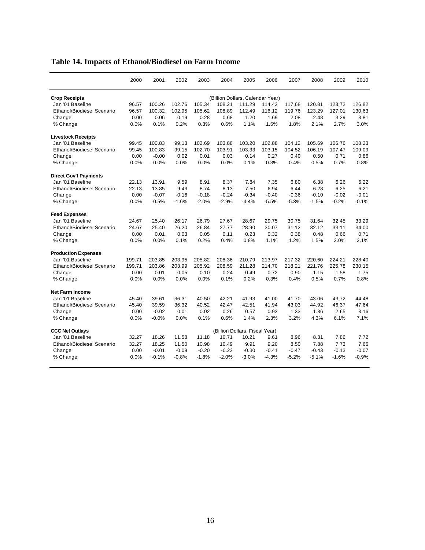|                                   | 2000                             | 2001    | 2002    | 2003    | 2004                           | 2005    | 2006    | 2007    | 2008    | 2009    | 2010    |
|-----------------------------------|----------------------------------|---------|---------|---------|--------------------------------|---------|---------|---------|---------|---------|---------|
| <b>Crop Receipts</b>              | (Billion Dollars, Calendar Year) |         |         |         |                                |         |         |         |         |         |         |
| Jan '01 Baseline                  | 96.57                            | 100.26  | 102.76  | 105.34  | 108.21                         | 111.29  | 114.42  | 117.68  | 120.81  | 123.72  | 126.82  |
| <b>Ethanol/Biodiesel Scenario</b> | 96.57                            | 100.32  | 102.95  | 105.62  | 108.89                         | 112.49  | 116.12  | 119.76  | 123.29  | 127.01  | 130.63  |
| Change                            | 0.00                             | 0.06    | 0.19    | 0.28    | 0.68                           | 1.20    | 1.69    | 2.08    | 2.48    | 3.29    | 3.81    |
| % Change                          | 0.0%                             | 0.1%    | 0.2%    | 0.3%    | 0.6%                           | 1.1%    | 1.5%    | 1.8%    | 2.1%    | 2.7%    | 3.0%    |
| <b>Livestock Receipts</b>         |                                  |         |         |         |                                |         |         |         |         |         |         |
| Jan '01 Baseline                  | 99.45                            | 100.83  | 99.13   | 102.69  | 103.88                         | 103.20  | 102.88  | 104.12  | 105.69  | 106.76  | 108.23  |
| Ethanol/Biodiesel Scenario        | 99.45                            | 100.83  | 99.15   | 102.70  | 103.91                         | 103.33  | 103.15  | 104.52  | 106.19  | 107.47  | 109.09  |
| Change                            | 0.00                             | $-0.00$ | 0.02    | 0.01    | 0.03                           | 0.14    | 0.27    | 0.40    | 0.50    | 0.71    | 0.86    |
| % Change                          | 0.0%                             | $-0.0%$ | 0.0%    | 0.0%    | 0.0%                           | 0.1%    | 0.3%    | 0.4%    | 0.5%    | 0.7%    | 0.8%    |
| <b>Direct Gov't Payments</b>      |                                  |         |         |         |                                |         |         |         |         |         |         |
| Jan '01 Baseline                  | 22.13                            | 13.91   | 9.59    | 8.91    | 8.37                           | 7.84    | 7.35    | 6.80    | 6.38    | 6.26    | 6.22    |
| Ethanol/Biodiesel Scenario        | 22.13                            | 13.85   | 9.43    | 8.74    | 8.13                           | 7.50    | 6.94    | 6.44    | 6.28    | 6.25    | 6.21    |
| Change                            | 0.00                             | $-0.07$ | $-0.16$ | $-0.18$ | $-0.24$                        | $-0.34$ | $-0.40$ | $-0.36$ | $-0.10$ | $-0.02$ | $-0.01$ |
| % Change                          | 0.0%                             | $-0.5%$ | $-1.6%$ | $-2.0%$ | $-2.9%$                        | $-4.4%$ | $-5.5%$ | $-5.3%$ | $-1.5%$ | $-0.2%$ | $-0.1%$ |
| <b>Feed Expenses</b>              |                                  |         |         |         |                                |         |         |         |         |         |         |
| Jan '01 Baseline                  | 24.67                            | 25.40   | 26.17   | 26.79   | 27.67                          | 28.67   | 29.75   | 30.75   | 31.64   | 32.45   | 33.29   |
| <b>Ethanol/Biodiesel Scenario</b> | 24.67                            | 25.40   | 26.20   | 26.84   | 27.77                          | 28.90   | 30.07   | 31.12   | 32.12   | 33.11   | 34.00   |
| Change                            | 0.00                             | 0.01    | 0.03    | 0.05    | 0.11                           | 0.23    | 0.32    | 0.38    | 0.48    | 0.66    | 0.71    |
| % Change                          | 0.0%                             | 0.0%    | 0.1%    | 0.2%    | 0.4%                           | 0.8%    | 1.1%    | 1.2%    | 1.5%    | 2.0%    | 2.1%    |
| <b>Production Expenses</b>        |                                  |         |         |         |                                |         |         |         |         |         |         |
| Jan '01 Baseline                  | 199.71                           | 203.85  | 203.95  | 205.82  | 208.36                         | 210.79  | 213.97  | 217.32  | 220.60  | 224.21  | 228.40  |
| <b>Ethanol/Biodiesel Scenario</b> | 199.71                           | 203.86  | 203.99  | 205.92  | 208.59                         | 211.28  | 214.70  | 218.21  | 221.76  | 225.78  | 230.15  |
| Change                            | 0.00                             | 0.01    | 0.05    | 0.10    | 0.24                           | 0.49    | 0.72    | 0.90    | 1.15    | 1.58    | 1.75    |
| % Change                          | 0.0%                             | 0.0%    | 0.0%    | 0.0%    | 0.1%                           | 0.2%    | 0.3%    | 0.4%    | 0.5%    | 0.7%    | 0.8%    |
| <b>Net Farm Income</b>            |                                  |         |         |         |                                |         |         |         |         |         |         |
| Jan '01 Baseline                  | 45.40                            | 39.61   | 36.31   | 40.50   | 42.21                          | 41.93   | 41.00   | 41.70   | 43.06   | 43.72   | 44.48   |
| <b>Ethanol/Biodiesel Scenario</b> | 45.40                            | 39.59   | 36.32   | 40.52   | 42.47                          | 42.51   | 41.94   | 43.03   | 44.92   | 46.37   | 47.64   |
| Change                            | 0.00                             | $-0.02$ | 0.01    | 0.02    | 0.26                           | 0.57    | 0.93    | 1.33    | 1.86    | 2.65    | 3.16    |
| % Change                          | 0.0%                             | $-0.0%$ | 0.0%    | 0.1%    | 0.6%                           | 1.4%    | 2.3%    | 3.2%    | 4.3%    | 6.1%    | 7.1%    |
| <b>CCC Net Outlays</b>            |                                  |         |         |         | (Billion Dollars, Fiscal Year) |         |         |         |         |         |         |
| Jan '01 Baseline                  | 32.27                            | 18.26   | 11.58   | 11.18   | 10.71                          | 10.21   | 9.61    | 8.96    | 8.31    | 7.86    | 7.72    |
| <b>Ethanol/Biodiesel Scenario</b> | 32.27                            | 18.25   | 11.50   | 10.98   | 10.49                          | 9.91    | 9.20    | 8.50    | 7.88    | 7.73    | 7.66    |
| Change                            | 0.00                             | $-0.01$ | $-0.09$ | $-0.20$ | $-0.22$                        | $-0.30$ | $-0.41$ | $-0.47$ | $-0.43$ | $-0.13$ | $-0.07$ |
| % Change                          | 0.0%                             | $-0.1%$ | $-0.8%$ | $-1.8%$ | $-2.0%$                        | $-3.0%$ | $-4.3%$ | $-5.2%$ | $-5.1%$ | $-1.6%$ | $-0.9%$ |

# **Table 14. Impacts of Ethanol/Biodiesel on Farm Income**